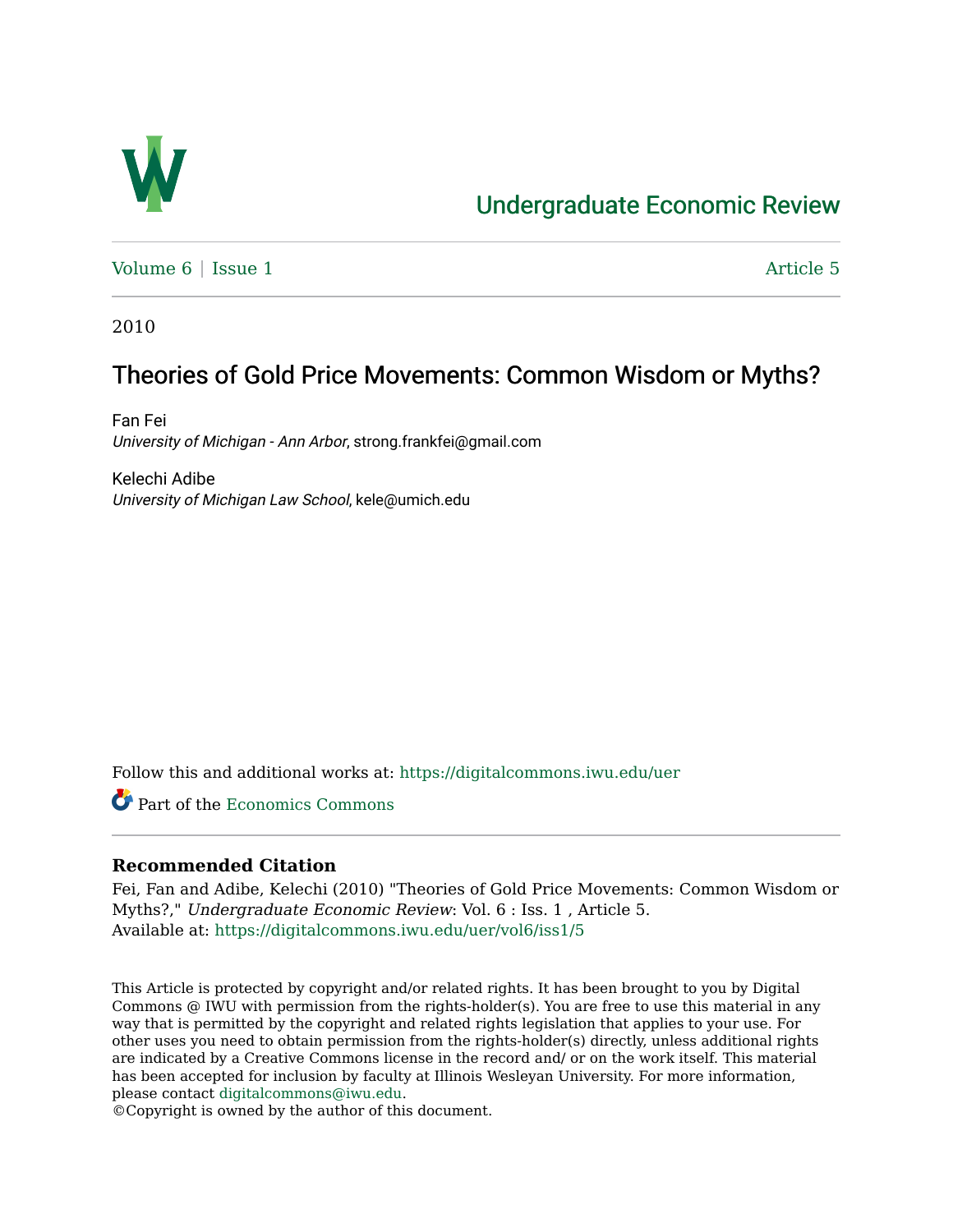

# [Undergraduate Economic Review](https://digitalcommons.iwu.edu/uer)

[Volume 6](https://digitalcommons.iwu.edu/uer/vol6) | [Issue 1](https://digitalcommons.iwu.edu/uer/vol6/iss1) Article 5

2010

## Theories of Gold Price Movements: Common Wisdom or Myths?

Fan Fei University of Michigan - Ann Arbor, strong.frankfei@gmail.com

Kelechi Adibe University of Michigan Law School, kele@umich.edu

Follow this and additional works at: [https://digitalcommons.iwu.edu/uer](https://digitalcommons.iwu.edu/uer?utm_source=digitalcommons.iwu.edu%2Fuer%2Fvol6%2Fiss1%2F5&utm_medium=PDF&utm_campaign=PDFCoverPages)

Part of the [Economics Commons](http://network.bepress.com/hgg/discipline/340?utm_source=digitalcommons.iwu.edu%2Fuer%2Fvol6%2Fiss1%2F5&utm_medium=PDF&utm_campaign=PDFCoverPages) 

## **Recommended Citation**

Fei, Fan and Adibe, Kelechi (2010) "Theories of Gold Price Movements: Common Wisdom or Myths?," Undergraduate Economic Review: Vol. 6 : Iss. 1 , Article 5. Available at: [https://digitalcommons.iwu.edu/uer/vol6/iss1/5](https://digitalcommons.iwu.edu/uer/vol6/iss1/5?utm_source=digitalcommons.iwu.edu%2Fuer%2Fvol6%2Fiss1%2F5&utm_medium=PDF&utm_campaign=PDFCoverPages) 

This Article is protected by copyright and/or related rights. It has been brought to you by Digital Commons @ IWU with permission from the rights-holder(s). You are free to use this material in any way that is permitted by the copyright and related rights legislation that applies to your use. For other uses you need to obtain permission from the rights-holder(s) directly, unless additional rights are indicated by a Creative Commons license in the record and/ or on the work itself. This material has been accepted for inclusion by faculty at Illinois Wesleyan University. For more information, please contact [digitalcommons@iwu.edu.](mailto:digitalcommons@iwu.edu)

©Copyright is owned by the author of this document.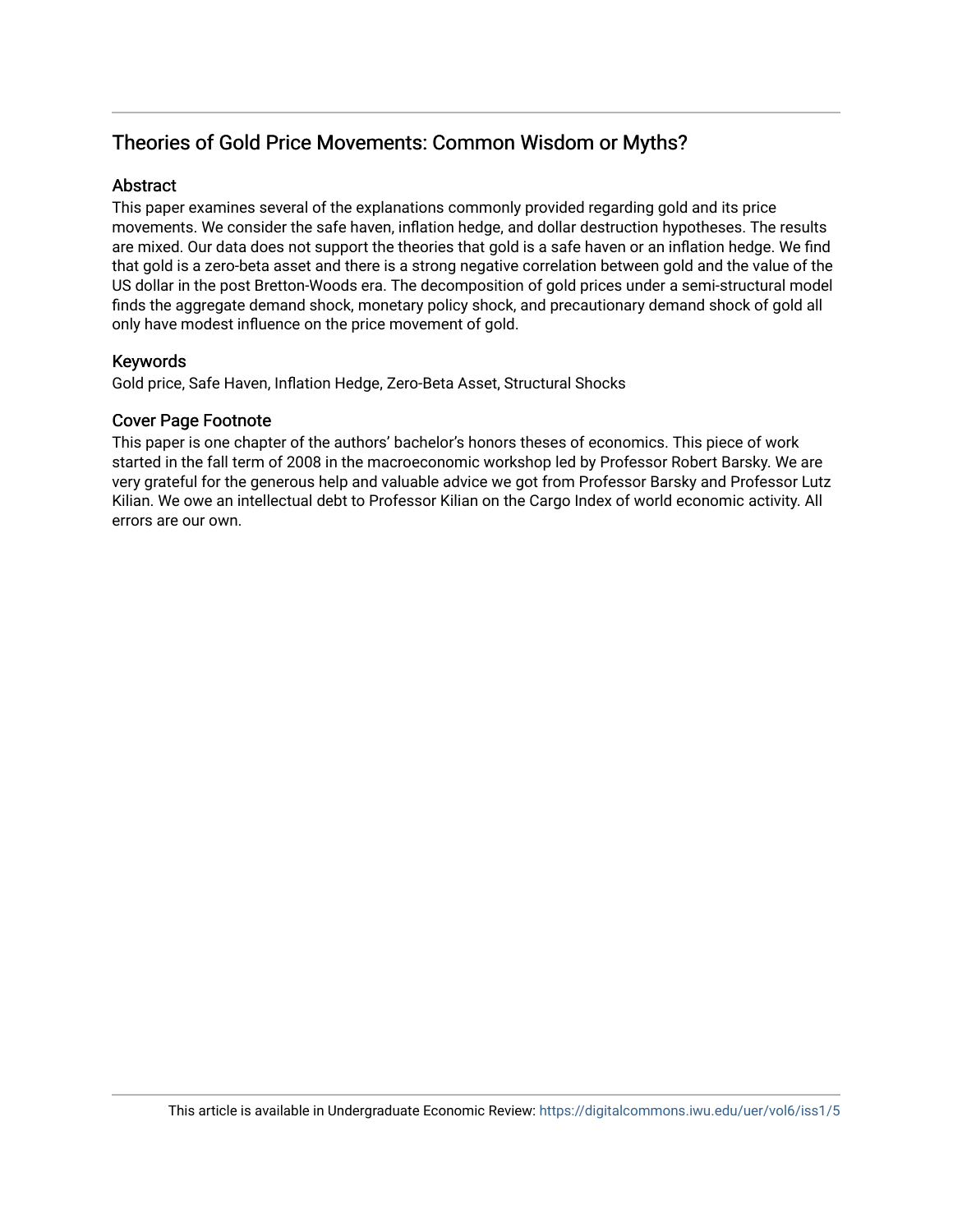## Theories of Gold Price Movements: Common Wisdom or Myths?

## **Abstract**

This paper examines several of the explanations commonly provided regarding gold and its price movements. We consider the safe haven, inflation hedge, and dollar destruction hypotheses. The results are mixed. Our data does not support the theories that gold is a safe haven or an inflation hedge. We find that gold is a zero-beta asset and there is a strong negative correlation between gold and the value of the US dollar in the post Bretton-Woods era. The decomposition of gold prices under a semi-structural model finds the aggregate demand shock, monetary policy shock, and precautionary demand shock of gold all only have modest influence on the price movement of gold.

## Keywords

Gold price, Safe Haven, Inflation Hedge, Zero-Beta Asset, Structural Shocks

## Cover Page Footnote

This paper is one chapter of the authors' bachelor's honors theses of economics. This piece of work started in the fall term of 2008 in the macroeconomic workshop led by Professor Robert Barsky. We are very grateful for the generous help and valuable advice we got from Professor Barsky and Professor Lutz Kilian. We owe an intellectual debt to Professor Kilian on the Cargo Index of world economic activity. All errors are our own.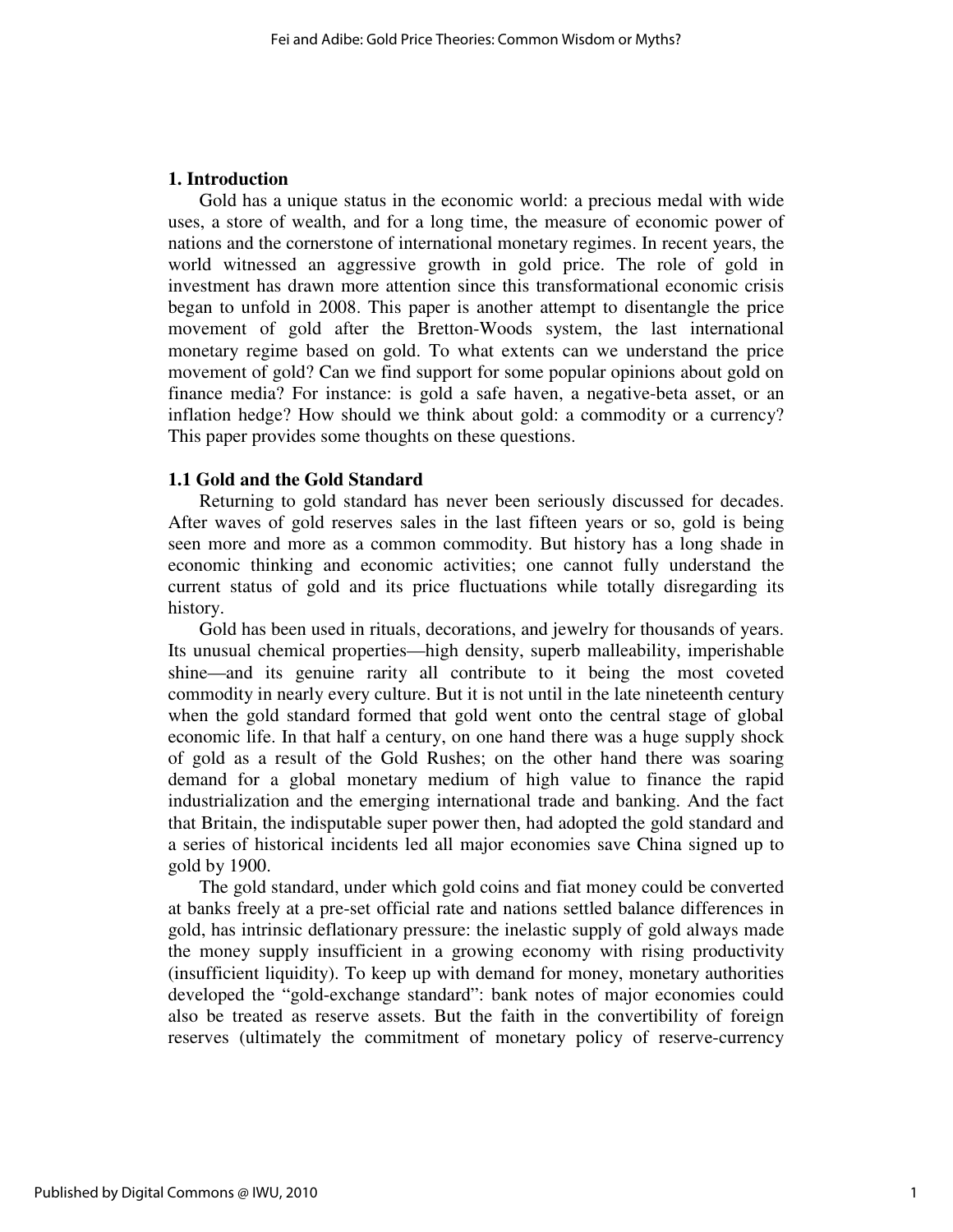## **1. Introduction**

Gold has a unique status in the economic world: a precious medal with wide uses, a store of wealth, and for a long time, the measure of economic power of nations and the cornerstone of international monetary regimes. In recent years, the world witnessed an aggressive growth in gold price. The role of gold in investment has drawn more attention since this transformational economic crisis began to unfold in 2008. This paper is another attempt to disentangle the price movement of gold after the Bretton-Woods system, the last international monetary regime based on gold. To what extents can we understand the price movement of gold? Can we find support for some popular opinions about gold on finance media? For instance: is gold a safe haven, a negative-beta asset, or an inflation hedge? How should we think about gold: a commodity or a currency? This paper provides some thoughts on these questions.

#### **1.1 Gold and the Gold Standard**

Returning to gold standard has never been seriously discussed for decades. After waves of gold reserves sales in the last fifteen years or so, gold is being seen more and more as a common commodity. But history has a long shade in economic thinking and economic activities; one cannot fully understand the current status of gold and its price fluctuations while totally disregarding its history.

Gold has been used in rituals, decorations, and jewelry for thousands of years. Its unusual chemical properties—high density, superb malleability, imperishable shine—and its genuine rarity all contribute to it being the most coveted commodity in nearly every culture. But it is not until in the late nineteenth century when the gold standard formed that gold went onto the central stage of global economic life. In that half a century, on one hand there was a huge supply shock of gold as a result of the Gold Rushes; on the other hand there was soaring demand for a global monetary medium of high value to finance the rapid industrialization and the emerging international trade and banking. And the fact that Britain, the indisputable super power then, had adopted the gold standard and a series of historical incidents led all major economies save China signed up to gold by 1900.

The gold standard, under which gold coins and fiat money could be converted at banks freely at a pre-set official rate and nations settled balance differences in gold, has intrinsic deflationary pressure: the inelastic supply of gold always made the money supply insufficient in a growing economy with rising productivity (insufficient liquidity). To keep up with demand for money, monetary authorities developed the "gold-exchange standard": bank notes of major economies could also be treated as reserve assets. But the faith in the convertibility of foreign reserves (ultimately the commitment of monetary policy of reserve-currency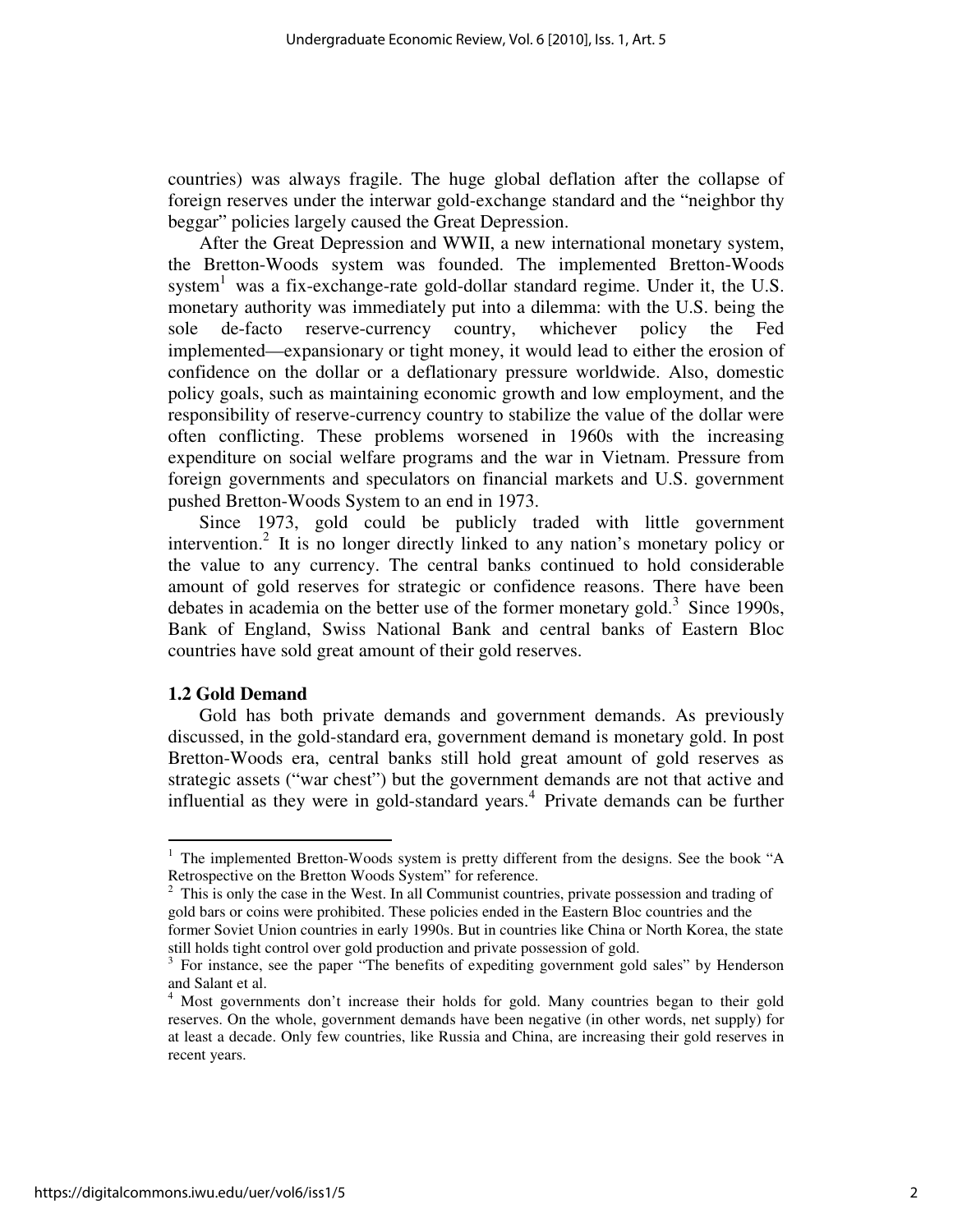countries) was always fragile. The huge global deflation after the collapse of foreign reserves under the interwar gold-exchange standard and the "neighbor thy beggar" policies largely caused the Great Depression.

After the Great Depression and WWII, a new international monetary system, the Bretton-Woods system was founded. The implemented Bretton-Woods system<sup>1</sup> was a fix-exchange-rate gold-dollar standard regime. Under it, the U.S. monetary authority was immediately put into a dilemma: with the U.S. being the sole de-facto reserve-currency country, whichever policy the Fed implemented—expansionary or tight money, it would lead to either the erosion of confidence on the dollar or a deflationary pressure worldwide. Also, domestic policy goals, such as maintaining economic growth and low employment, and the responsibility of reserve-currency country to stabilize the value of the dollar were often conflicting. These problems worsened in 1960s with the increasing expenditure on social welfare programs and the war in Vietnam. Pressure from foreign governments and speculators on financial markets and U.S. government pushed Bretton-Woods System to an end in 1973.

Since 1973, gold could be publicly traded with little government intervention.<sup>2</sup> It is no longer directly linked to any nation's monetary policy or the value to any currency. The central banks continued to hold considerable amount of gold reserves for strategic or confidence reasons. There have been debates in academia on the better use of the former monetary gold.<sup>3</sup> Since 1990s, Bank of England, Swiss National Bank and central banks of Eastern Bloc countries have sold great amount of their gold reserves.

## **1.2 Gold Demand**

Gold has both private demands and government demands. As previously discussed, in the gold-standard era, government demand is monetary gold. In post Bretton-Woods era, central banks still hold great amount of gold reserves as strategic assets ("war chest") but the government demands are not that active and influential as they were in gold-standard years. $4$  Private demands can be further

 $\overline{a}$ 

<sup>&</sup>lt;sup>1</sup> The implemented Bretton-Woods system is pretty different from the designs. See the book "A Retrospective on the Bretton Woods System" for reference.

 $2$  This is only the case in the West. In all Communist countries, private possession and trading of gold bars or coins were prohibited. These policies ended in the Eastern Bloc countries and the former Soviet Union countries in early 1990s. But in countries like China or North Korea, the state still holds tight control over gold production and private possession of gold.

<sup>&</sup>lt;sup>3</sup> For instance, see the paper "The benefits of expediting government gold sales" by Henderson and Salant et al.

<sup>&</sup>lt;sup>4</sup> Most governments don't increase their holds for gold. Many countries began to their gold reserves. On the whole, government demands have been negative (in other words, net supply) for at least a decade. Only few countries, like Russia and China, are increasing their gold reserves in recent years.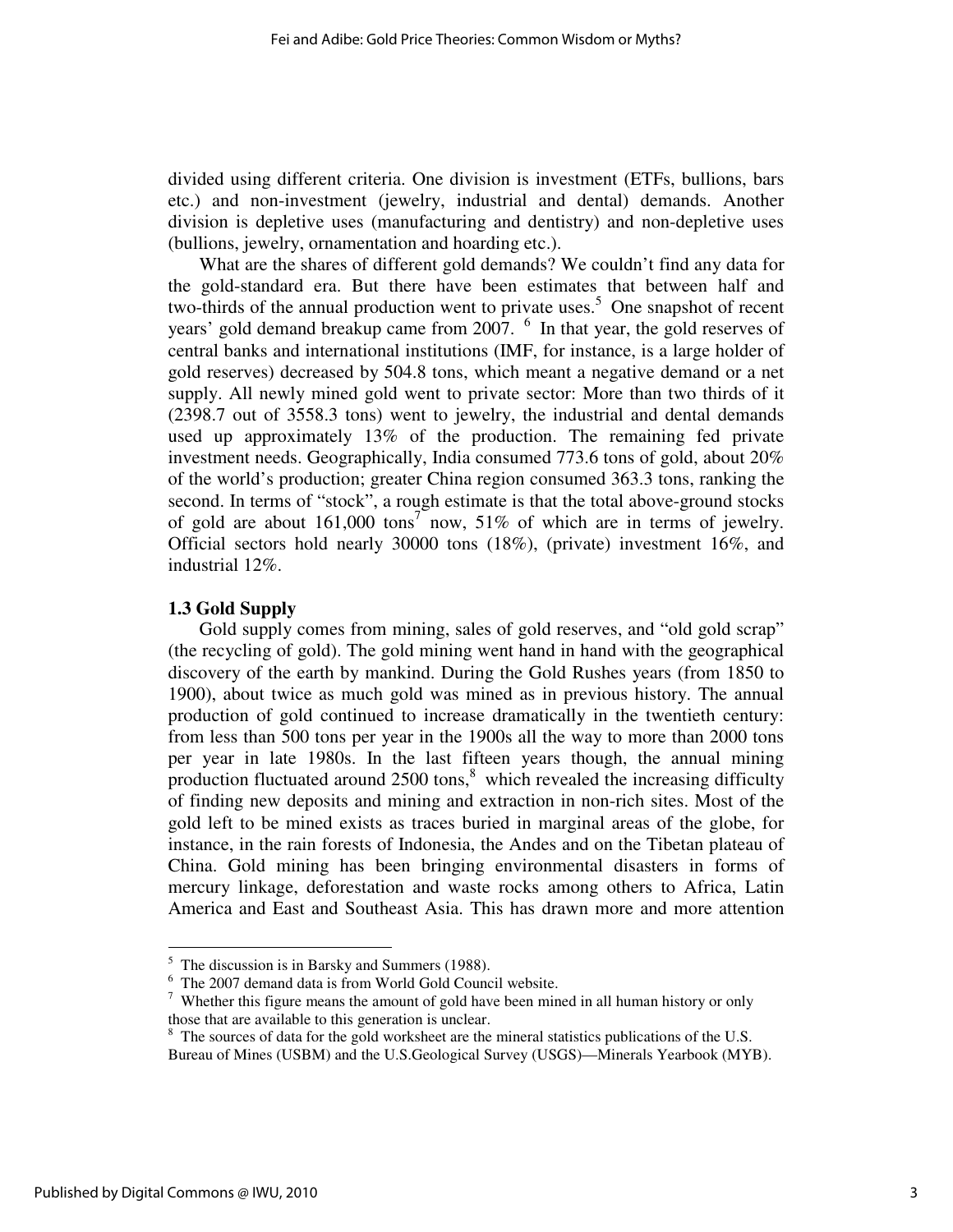divided using different criteria. One division is investment (ETFs, bullions, bars etc.) and non-investment (jewelry, industrial and dental) demands. Another division is depletive uses (manufacturing and dentistry) and non-depletive uses (bullions, jewelry, ornamentation and hoarding etc.).

What are the shares of different gold demands? We couldn't find any data for the gold-standard era. But there have been estimates that between half and two-thirds of the annual production went to private uses.<sup>5</sup> One snapshot of recent years' gold demand breakup came from 2007.  $<sup>6</sup>$  In that year, the gold reserves of</sup> central banks and international institutions (IMF, for instance, is a large holder of gold reserves) decreased by 504.8 tons, which meant a negative demand or a net supply. All newly mined gold went to private sector: More than two thirds of it (2398.7 out of 3558.3 tons) went to jewelry, the industrial and dental demands used up approximately 13% of the production. The remaining fed private investment needs. Geographically, India consumed 773.6 tons of gold, about 20% of the world's production; greater China region consumed 363.3 tons, ranking the second. In terms of "stock", a rough estimate is that the total above-ground stocks of gold are about 161,000 tons<sup>7</sup> now, 51% of which are in terms of jewelry. Official sectors hold nearly 30000 tons (18%), (private) investment 16%, and industrial 12%.

## **1.3 Gold Supply**

Gold supply comes from mining, sales of gold reserves, and "old gold scrap" (the recycling of gold). The gold mining went hand in hand with the geographical discovery of the earth by mankind. During the Gold Rushes years (from 1850 to 1900), about twice as much gold was mined as in previous history. The annual production of gold continued to increase dramatically in the twentieth century: from less than 500 tons per year in the 1900s all the way to more than 2000 tons per year in late 1980s. In the last fifteen years though, the annual mining production fluctuated around  $2500 \text{ tons}$ ,<sup>8</sup> which revealed the increasing difficulty of finding new deposits and mining and extraction in non-rich sites. Most of the gold left to be mined exists as traces buried in marginal areas of the globe, for instance, in the rain forests of Indonesia, the Andes and on the Tibetan plateau of China. Gold mining has been bringing environmental disasters in forms of mercury linkage, deforestation and waste rocks among others to Africa, Latin America and East and Southeast Asia. This has drawn more and more attention

 5 The discussion is in Barsky and Summers (1988).

<sup>6</sup> The 2007 demand data is from World Gold Council website.

 $\alpha$  Whether this figure means the amount of gold have been mined in all human history or only those that are available to this generation is unclear.

 $8\text{ The sources of data for the gold workshop the mineral statistics publications of the U.S.}$ Bureau of Mines (USBM) and the U.S.Geological Survey (USGS)—Minerals Yearbook (MYB).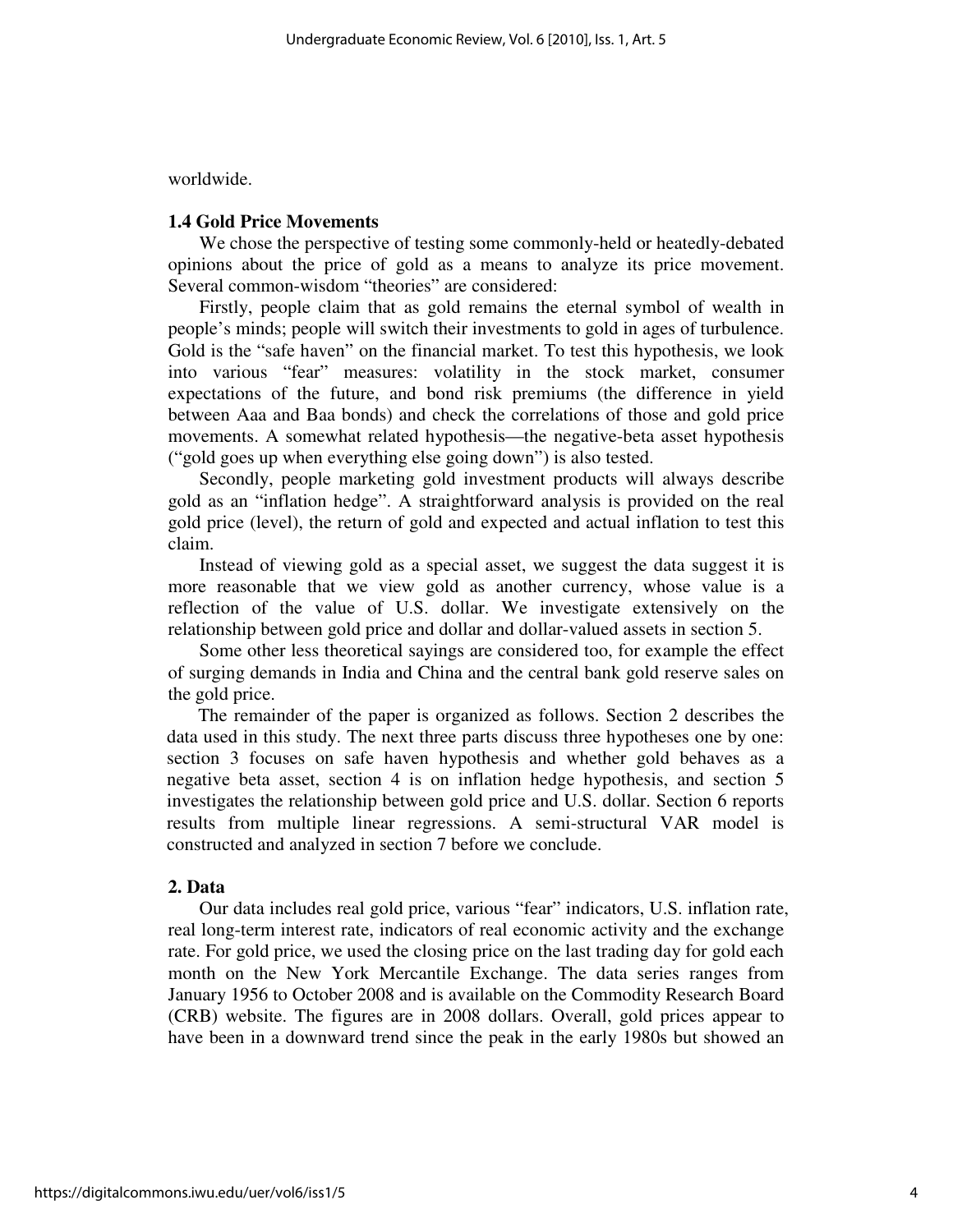worldwide.

## **1.4 Gold Price Movements**

We chose the perspective of testing some commonly-held or heatedly-debated opinions about the price of gold as a means to analyze its price movement. Several common-wisdom "theories" are considered:

Firstly, people claim that as gold remains the eternal symbol of wealth in people's minds; people will switch their investments to gold in ages of turbulence. Gold is the "safe haven" on the financial market. To test this hypothesis, we look into various "fear" measures: volatility in the stock market, consumer expectations of the future, and bond risk premiums (the difference in yield between Aaa and Baa bonds) and check the correlations of those and gold price movements. A somewhat related hypothesis—the negative-beta asset hypothesis ("gold goes up when everything else going down") is also tested.

Secondly, people marketing gold investment products will always describe gold as an "inflation hedge". A straightforward analysis is provided on the real gold price (level), the return of gold and expected and actual inflation to test this claim.

Instead of viewing gold as a special asset, we suggest the data suggest it is more reasonable that we view gold as another currency, whose value is a reflection of the value of U.S. dollar. We investigate extensively on the relationship between gold price and dollar and dollar-valued assets in section 5.

Some other less theoretical sayings are considered too, for example the effect of surging demands in India and China and the central bank gold reserve sales on the gold price.

The remainder of the paper is organized as follows. Section 2 describes the data used in this study. The next three parts discuss three hypotheses one by one: section 3 focuses on safe haven hypothesis and whether gold behaves as a negative beta asset, section 4 is on inflation hedge hypothesis, and section 5 investigates the relationship between gold price and U.S. dollar. Section 6 reports results from multiple linear regressions. A semi-structural VAR model is constructed and analyzed in section 7 before we conclude.

## **2. Data**

Our data includes real gold price, various "fear" indicators, U.S. inflation rate, real long-term interest rate, indicators of real economic activity and the exchange rate. For gold price, we used the closing price on the last trading day for gold each month on the New York Mercantile Exchange. The data series ranges from January 1956 to October 2008 and is available on the Commodity Research Board (CRB) website. The figures are in 2008 dollars. Overall, gold prices appear to have been in a downward trend since the peak in the early 1980s but showed an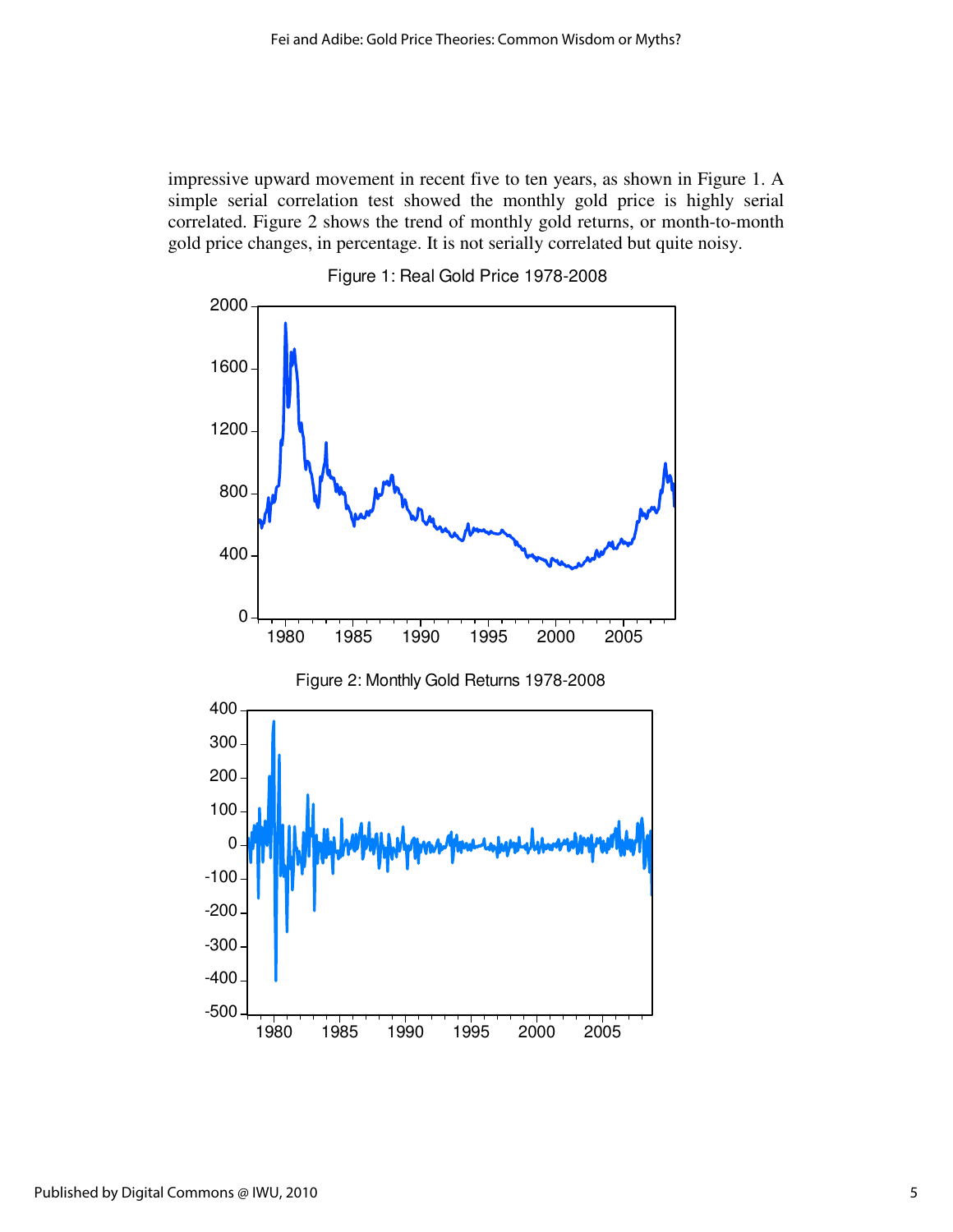impressive upward movement in recent five to ten years, as shown in Figure 1. A simple serial correlation test showed the monthly gold price is highly serial correlated. Figure 2 shows the trend of monthly gold returns, or month-to-month gold price changes, in percentage. It is not serially correlated but quite noisy.



Published by Digital Commons @ IWU, 2010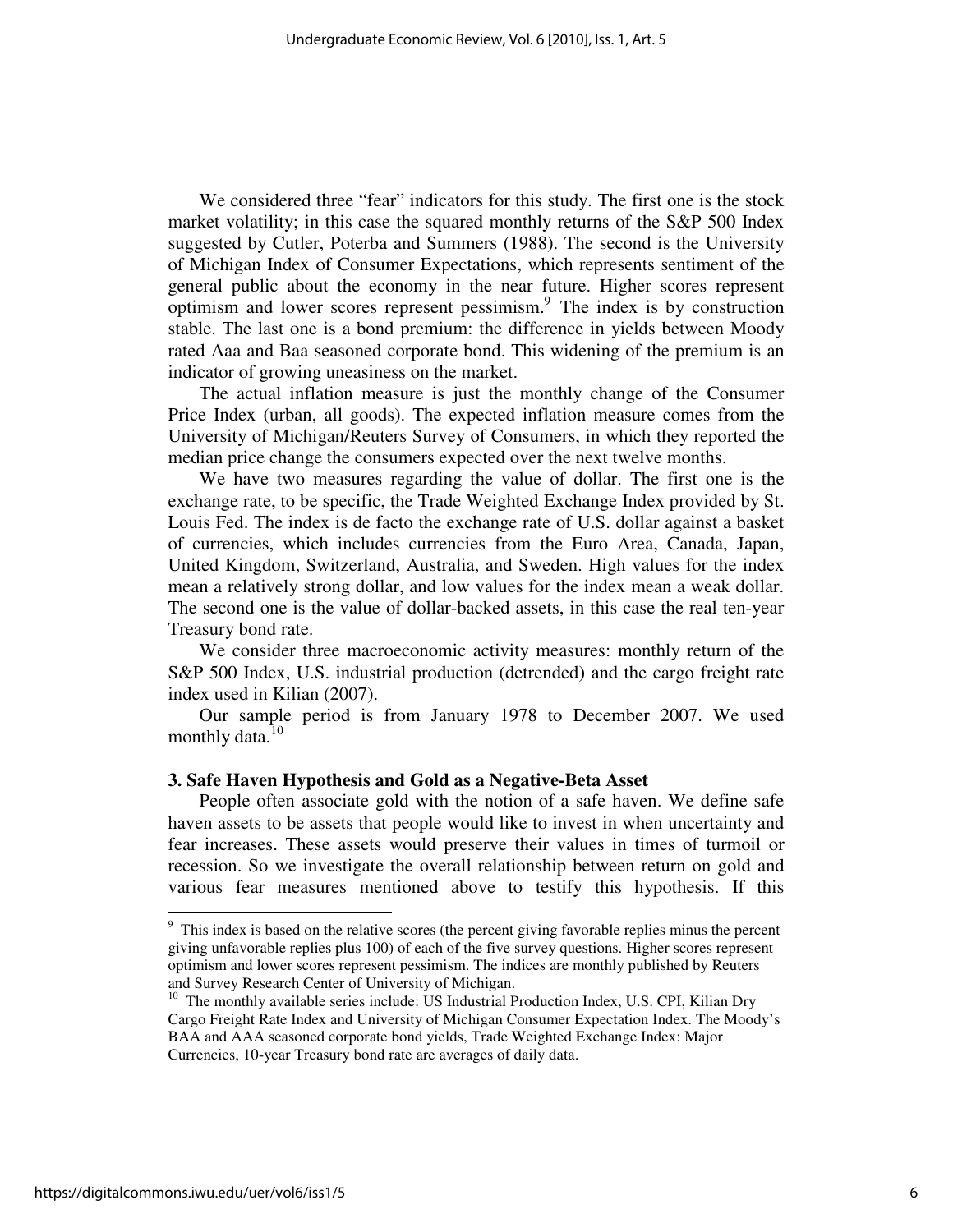We considered three "fear" indicators for this study. The first one is the stock market volatility; in this case the squared monthly returns of the S&P 500 Index suggested by Cutler, Poterba and Summers (1988). The second is the University of Michigan Index of Consumer Expectations, which represents sentiment of the general public about the economy in the near future. Higher scores represent optimism and lower scores represent pessimism.<sup>9</sup> The index is by construction stable. The last one is a bond premium: the difference in yields between Moody rated Aaa and Baa seasoned corporate bond. This widening of the premium is an indicator of growing uneasiness on the market.

The actual inflation measure is just the monthly change of the Consumer Price Index (urban, all goods). The expected inflation measure comes from the University of Michigan/Reuters Survey of Consumers, in which they reported the median price change the consumers expected over the next twelve months.

We have two measures regarding the value of dollar. The first one is the exchange rate, to be specific, the Trade Weighted Exchange Index provided by St. Louis Fed. The index is de facto the exchange rate of U.S. dollar against a basket of currencies, which includes currencies from the Euro Area, Canada, Japan, United Kingdom, Switzerland, Australia, and Sweden. High values for the index mean a relatively strong dollar, and low values for the index mean a weak dollar. The second one is the value of dollar-backed assets, in this case the real ten-year Treasury bond rate.

We consider three macroeconomic activity measures: monthly return of the S&P 500 Index, U.S. industrial production (detrended) and the cargo freight rate index used in Kilian (2007).

Our sample period is from January 1978 to December 2007. We used monthly data. $^{10}$ 

### **3. Safe Haven Hypothesis and Gold as a Negative-Beta Asset**

People often associate gold with the notion of a safe haven. We define safe haven assets to be assets that people would like to invest in when uncertainty and fear increases. These assets would preserve their values in times of turmoil or recession. So we investigate the overall relationship between return on gold and various fear measures mentioned above to testify this hypothesis. If this

<sup>&</sup>lt;sup>9</sup> This index is based on the relative scores (the percent giving favorable replies minus the percent giving unfavorable replies plus 100) of each of the five survey questions. Higher scores represent optimism and lower scores represent pessimism. The indices are monthly published by Reuters and Survey Research Center of University of Michigan.

<sup>&</sup>lt;sup>10</sup> The monthly available series include: US Industrial Production Index, U.S. CPI, Kilian Dry Cargo Freight Rate Index and University of Michigan Consumer Expectation Index. The Moody's BAA and AAA seasoned corporate bond yields, Trade Weighted Exchange Index: Major Currencies, 10-year Treasury bond rate are averages of daily data.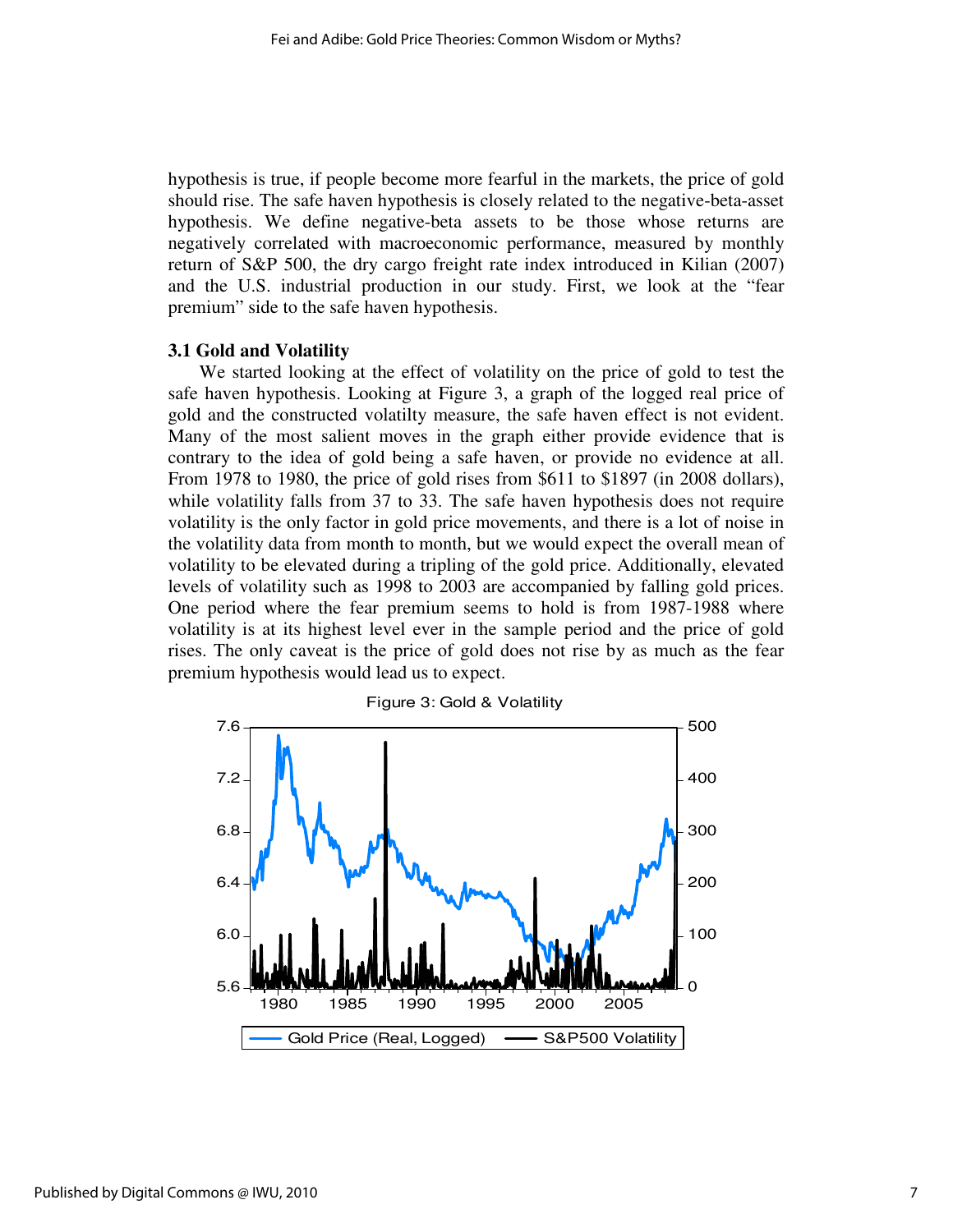hypothesis is true, if people become more fearful in the markets, the price of gold should rise. The safe haven hypothesis is closely related to the negative-beta-asset hypothesis. We define negative-beta assets to be those whose returns are negatively correlated with macroeconomic performance, measured by monthly return of S&P 500, the dry cargo freight rate index introduced in Kilian (2007) and the U.S. industrial production in our study. First, we look at the "fear premium" side to the safe haven hypothesis.

#### **3.1 Gold and Volatility**

We started looking at the effect of volatility on the price of gold to test the safe haven hypothesis. Looking at Figure 3, a graph of the logged real price of gold and the constructed volatilty measure, the safe haven effect is not evident. Many of the most salient moves in the graph either provide evidence that is contrary to the idea of gold being a safe haven, or provide no evidence at all. From 1978 to 1980, the price of gold rises from \$611 to \$1897 (in 2008 dollars), while volatility falls from 37 to 33. The safe haven hypothesis does not require volatility is the only factor in gold price movements, and there is a lot of noise in the volatility data from month to month, but we would expect the overall mean of volatility to be elevated during a tripling of the gold price. Additionally, elevated levels of volatility such as 1998 to 2003 are accompanied by falling gold prices. One period where the fear premium seems to hold is from 1987-1988 where volatility is at its highest level ever in the sample period and the price of gold rises. The only caveat is the price of gold does not rise by as much as the fear premium hypothesis would lead us to expect.

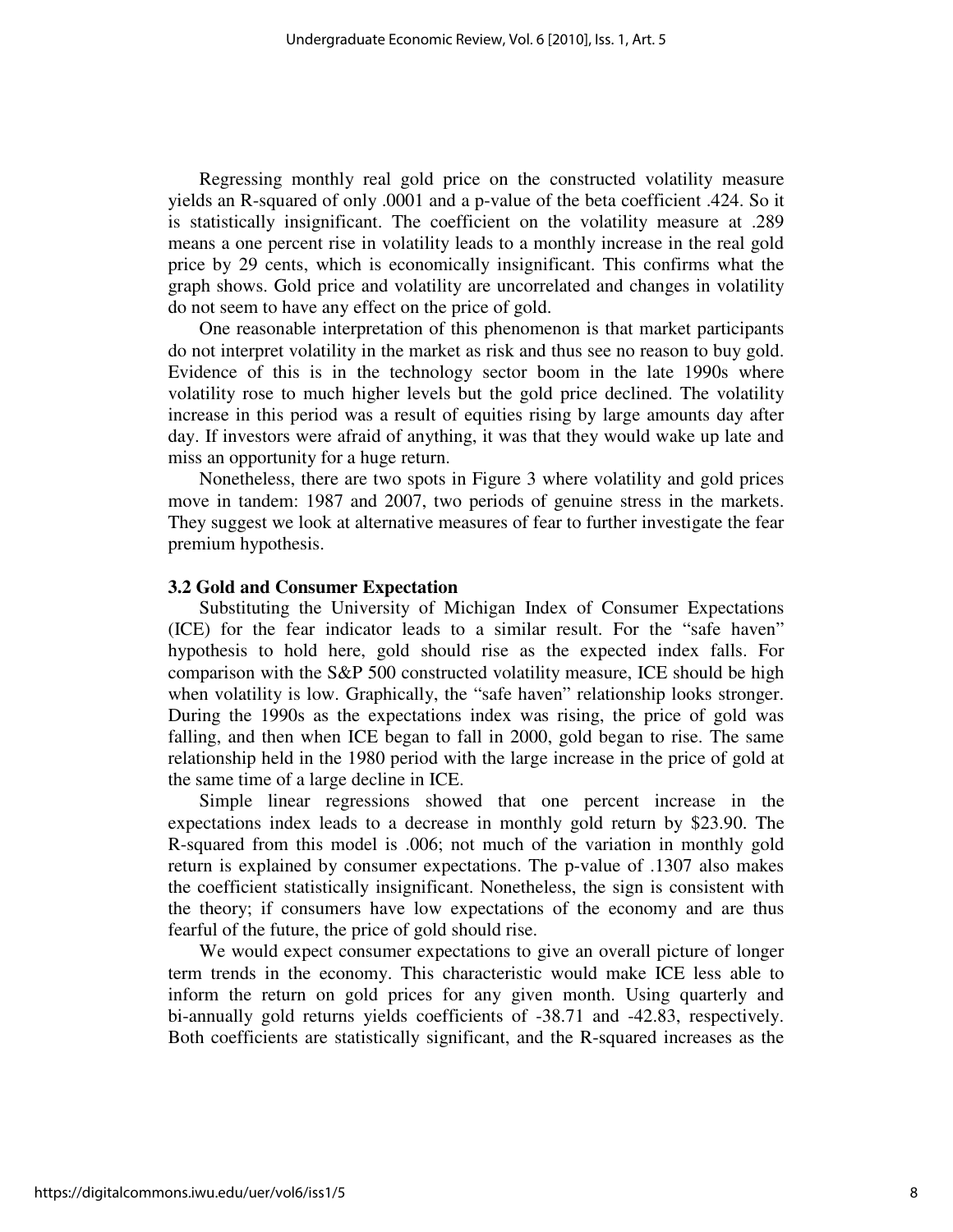Regressing monthly real gold price on the constructed volatility measure yields an R-squared of only .0001 and a p-value of the beta coefficient .424. So it is statistically insignificant. The coefficient on the volatility measure at .289 means a one percent rise in volatility leads to a monthly increase in the real gold price by 29 cents, which is economically insignificant. This confirms what the graph shows. Gold price and volatility are uncorrelated and changes in volatility do not seem to have any effect on the price of gold.

One reasonable interpretation of this phenomenon is that market participants do not interpret volatility in the market as risk and thus see no reason to buy gold. Evidence of this is in the technology sector boom in the late 1990s where volatility rose to much higher levels but the gold price declined. The volatility increase in this period was a result of equities rising by large amounts day after day. If investors were afraid of anything, it was that they would wake up late and miss an opportunity for a huge return.

Nonetheless, there are two spots in Figure 3 where volatility and gold prices move in tandem: 1987 and 2007, two periods of genuine stress in the markets. They suggest we look at alternative measures of fear to further investigate the fear premium hypothesis.

#### **3.2 Gold and Consumer Expectation**

Substituting the University of Michigan Index of Consumer Expectations (ICE) for the fear indicator leads to a similar result. For the "safe haven" hypothesis to hold here, gold should rise as the expected index falls. For comparison with the S&P 500 constructed volatility measure, ICE should be high when volatility is low. Graphically, the "safe haven" relationship looks stronger. During the 1990s as the expectations index was rising, the price of gold was falling, and then when ICE began to fall in 2000, gold began to rise. The same relationship held in the 1980 period with the large increase in the price of gold at the same time of a large decline in ICE.

Simple linear regressions showed that one percent increase in the expectations index leads to a decrease in monthly gold return by \$23.90. The R-squared from this model is .006; not much of the variation in monthly gold return is explained by consumer expectations. The p-value of .1307 also makes the coefficient statistically insignificant. Nonetheless, the sign is consistent with the theory; if consumers have low expectations of the economy and are thus fearful of the future, the price of gold should rise.

We would expect consumer expectations to give an overall picture of longer term trends in the economy. This characteristic would make ICE less able to inform the return on gold prices for any given month. Using quarterly and bi-annually gold returns yields coefficients of -38.71 and -42.83, respectively. Both coefficients are statistically significant, and the R-squared increases as the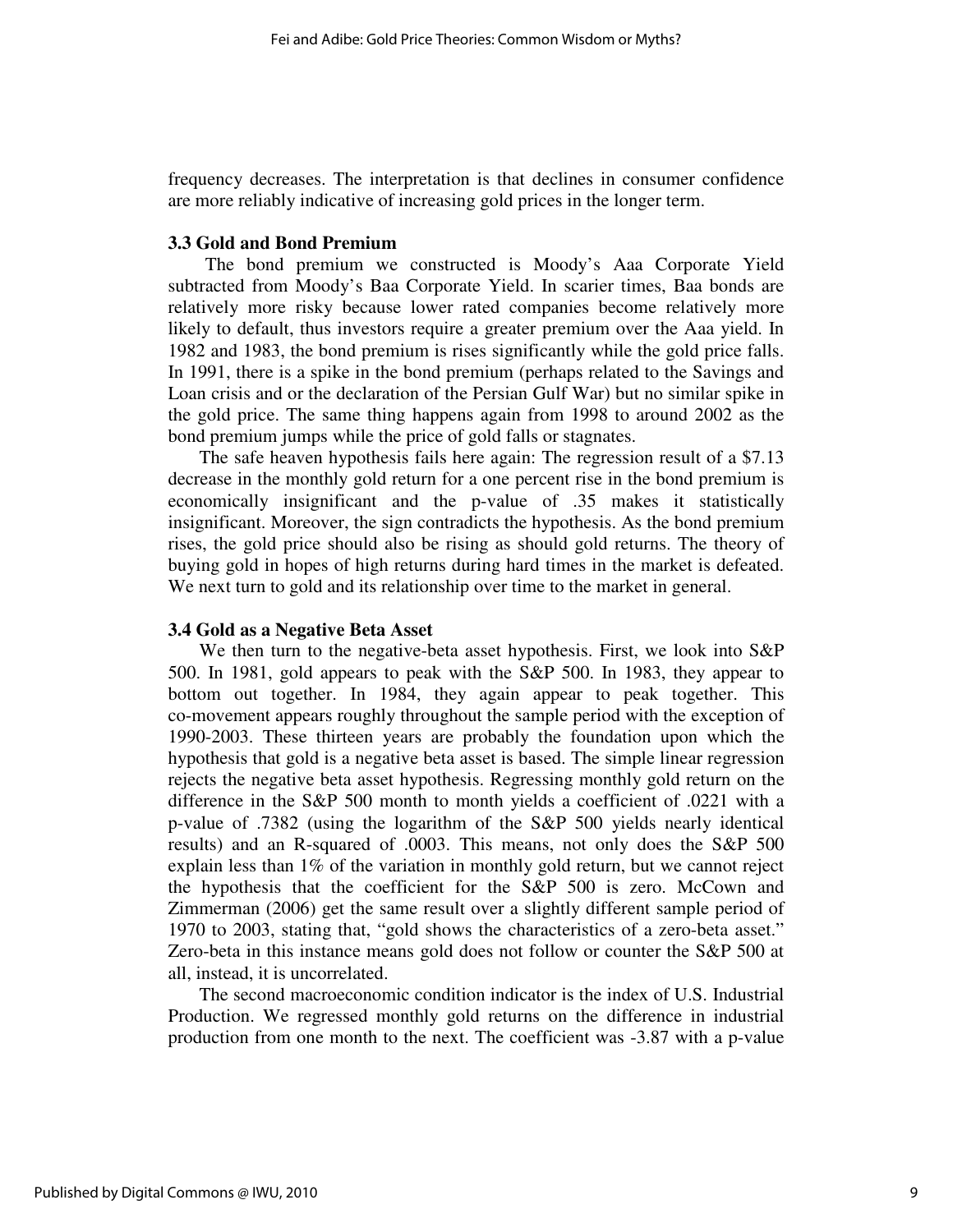frequency decreases. The interpretation is that declines in consumer confidence are more reliably indicative of increasing gold prices in the longer term.

#### **3.3 Gold and Bond Premium**

The bond premium we constructed is Moody's Aaa Corporate Yield subtracted from Moody's Baa Corporate Yield. In scarier times, Baa bonds are relatively more risky because lower rated companies become relatively more likely to default, thus investors require a greater premium over the Aaa yield. In 1982 and 1983, the bond premium is rises significantly while the gold price falls. In 1991, there is a spike in the bond premium (perhaps related to the Savings and Loan crisis and or the declaration of the Persian Gulf War) but no similar spike in the gold price. The same thing happens again from 1998 to around 2002 as the bond premium jumps while the price of gold falls or stagnates.

The safe heaven hypothesis fails here again: The regression result of a \$7.13 decrease in the monthly gold return for a one percent rise in the bond premium is economically insignificant and the p-value of .35 makes it statistically insignificant. Moreover, the sign contradicts the hypothesis. As the bond premium rises, the gold price should also be rising as should gold returns. The theory of buying gold in hopes of high returns during hard times in the market is defeated. We next turn to gold and its relationship over time to the market in general.

#### **3.4 Gold as a Negative Beta Asset**

We then turn to the negative-beta asset hypothesis. First, we look into S&P 500. In 1981, gold appears to peak with the S&P 500. In 1983, they appear to bottom out together. In 1984, they again appear to peak together. This co-movement appears roughly throughout the sample period with the exception of 1990-2003. These thirteen years are probably the foundation upon which the hypothesis that gold is a negative beta asset is based. The simple linear regression rejects the negative beta asset hypothesis. Regressing monthly gold return on the difference in the S&P 500 month to month yields a coefficient of .0221 with a p-value of .7382 (using the logarithm of the S&P 500 yields nearly identical results) and an R-squared of .0003. This means, not only does the S&P 500 explain less than 1% of the variation in monthly gold return, but we cannot reject the hypothesis that the coefficient for the S&P 500 is zero. McCown and Zimmerman (2006) get the same result over a slightly different sample period of 1970 to 2003, stating that, "gold shows the characteristics of a zero-beta asset." Zero-beta in this instance means gold does not follow or counter the S&P 500 at all, instead, it is uncorrelated.

The second macroeconomic condition indicator is the index of U.S. Industrial Production. We regressed monthly gold returns on the difference in industrial production from one month to the next. The coefficient was -3.87 with a p-value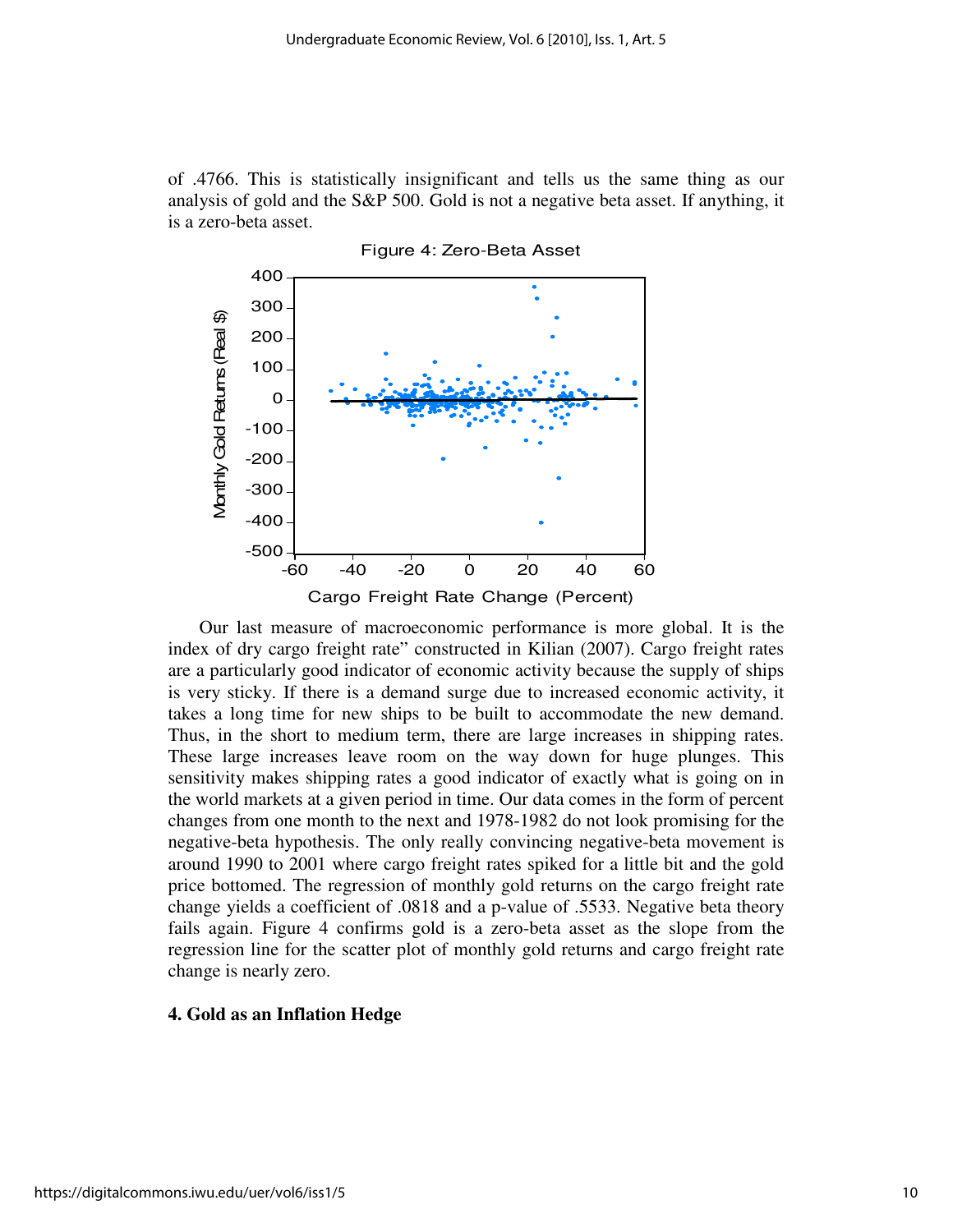of .4766. This is statistically insignificant and tells us the same thing as our analysis of gold and the S&P 500. Gold is not a negative beta asset. If anything, it is a zero-beta asset.



Figure 4: Zero-Beta Asset

Our last measure of macroeconomic performance is more global. It is the index of dry cargo freight rate" constructed in Kilian (2007). Cargo freight rates are a particularly good indicator of economic activity because the supply of ships is very sticky. If there is a demand surge due to increased economic activity, it takes a long time for new ships to be built to accommodate the new demand. Thus, in the short to medium term, there are large increases in shipping rates. These large increases leave room on the way down for huge plunges. This sensitivity makes shipping rates a good indicator of exactly what is going on in the world markets at a given period in time. Our data comes in the form of percent changes from one month to the next and 1978-1982 do not look promising for the negative-beta hypothesis. The only really convincing negative-beta movement is around 1990 to 2001 where cargo freight rates spiked for a little bit and the gold price bottomed. The regression of monthly gold returns on the cargo freight rate change yields a coefficient of .0818 and a p-value of .5533. Negative beta theory fails again. Figure 4 confirms gold is a zero-beta asset as the slope from the regression line for the scatter plot of monthly gold returns and cargo freight rate change is nearly zero.

## **4. Gold as an Inflation Hedge**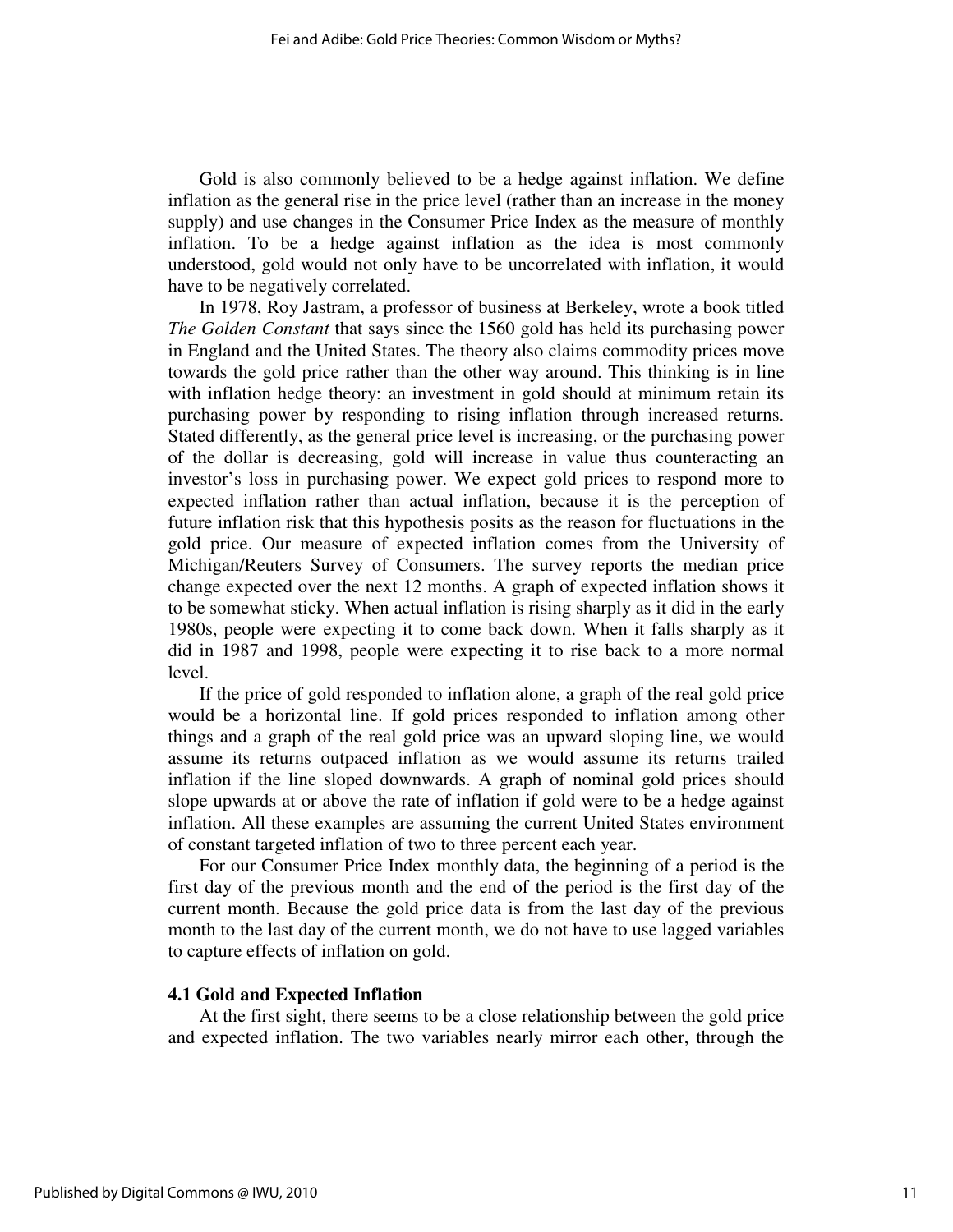Gold is also commonly believed to be a hedge against inflation. We define inflation as the general rise in the price level (rather than an increase in the money supply) and use changes in the Consumer Price Index as the measure of monthly inflation. To be a hedge against inflation as the idea is most commonly understood, gold would not only have to be uncorrelated with inflation, it would have to be negatively correlated.

In 1978, Roy Jastram, a professor of business at Berkeley, wrote a book titled *The Golden Constant* that says since the 1560 gold has held its purchasing power in England and the United States. The theory also claims commodity prices move towards the gold price rather than the other way around. This thinking is in line with inflation hedge theory: an investment in gold should at minimum retain its purchasing power by responding to rising inflation through increased returns. Stated differently, as the general price level is increasing, or the purchasing power of the dollar is decreasing, gold will increase in value thus counteracting an investor's loss in purchasing power. We expect gold prices to respond more to expected inflation rather than actual inflation, because it is the perception of future inflation risk that this hypothesis posits as the reason for fluctuations in the gold price. Our measure of expected inflation comes from the University of Michigan/Reuters Survey of Consumers. The survey reports the median price change expected over the next 12 months. A graph of expected inflation shows it to be somewhat sticky. When actual inflation is rising sharply as it did in the early 1980s, people were expecting it to come back down. When it falls sharply as it did in 1987 and 1998, people were expecting it to rise back to a more normal level.

If the price of gold responded to inflation alone, a graph of the real gold price would be a horizontal line. If gold prices responded to inflation among other things and a graph of the real gold price was an upward sloping line, we would assume its returns outpaced inflation as we would assume its returns trailed inflation if the line sloped downwards. A graph of nominal gold prices should slope upwards at or above the rate of inflation if gold were to be a hedge against inflation. All these examples are assuming the current United States environment of constant targeted inflation of two to three percent each year.

For our Consumer Price Index monthly data, the beginning of a period is the first day of the previous month and the end of the period is the first day of the current month. Because the gold price data is from the last day of the previous month to the last day of the current month, we do not have to use lagged variables to capture effects of inflation on gold.

## **4.1 Gold and Expected Inflation**

At the first sight, there seems to be a close relationship between the gold price and expected inflation. The two variables nearly mirror each other, through the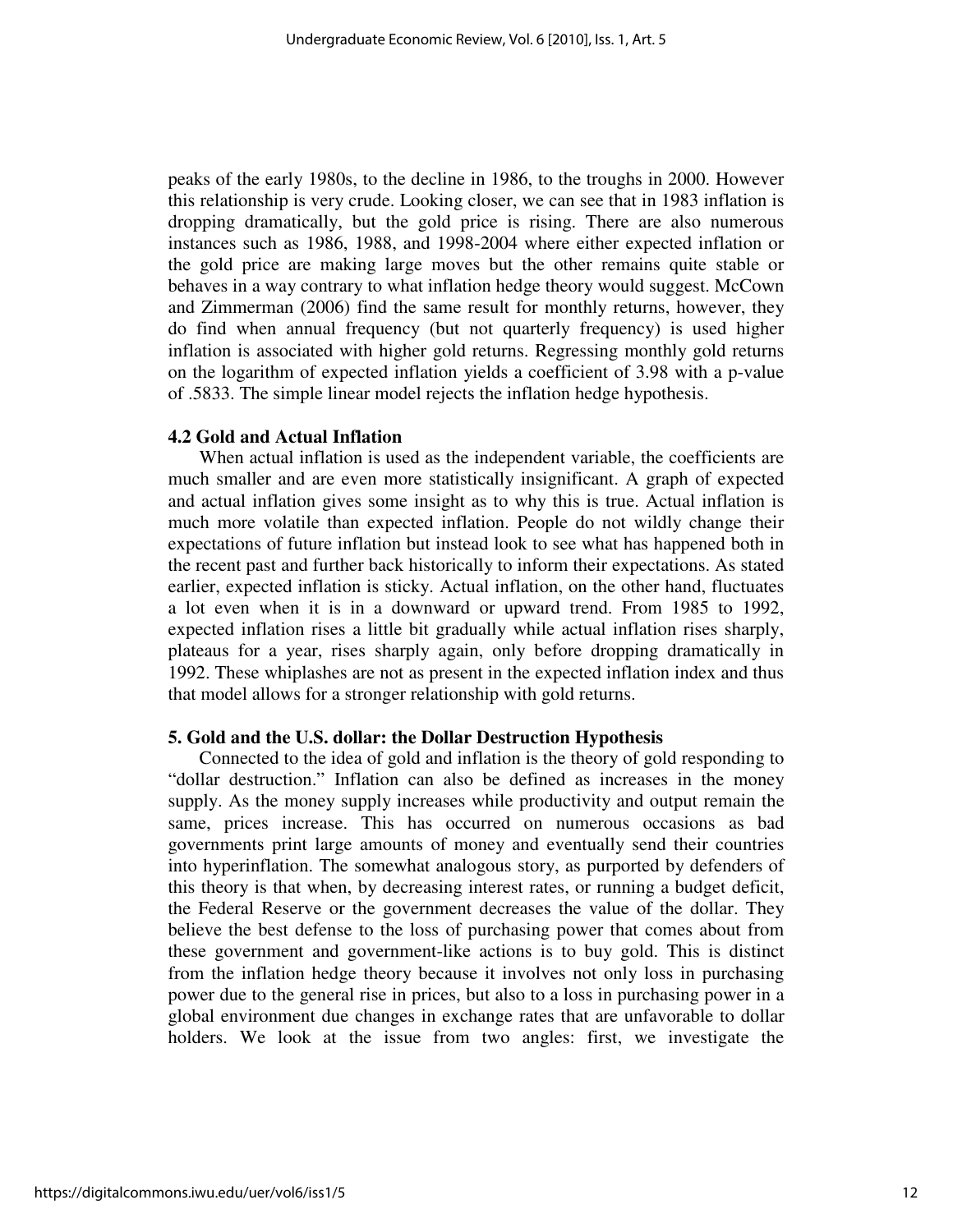peaks of the early 1980s, to the decline in 1986, to the troughs in 2000. However this relationship is very crude. Looking closer, we can see that in 1983 inflation is dropping dramatically, but the gold price is rising. There are also numerous instances such as 1986, 1988, and 1998-2004 where either expected inflation or the gold price are making large moves but the other remains quite stable or behaves in a way contrary to what inflation hedge theory would suggest. McCown and Zimmerman (2006) find the same result for monthly returns, however, they do find when annual frequency (but not quarterly frequency) is used higher inflation is associated with higher gold returns. Regressing monthly gold returns on the logarithm of expected inflation yields a coefficient of 3.98 with a p-value of .5833. The simple linear model rejects the inflation hedge hypothesis.

#### **4.2 Gold and Actual Inflation**

When actual inflation is used as the independent variable, the coefficients are much smaller and are even more statistically insignificant. A graph of expected and actual inflation gives some insight as to why this is true. Actual inflation is much more volatile than expected inflation. People do not wildly change their expectations of future inflation but instead look to see what has happened both in the recent past and further back historically to inform their expectations. As stated earlier, expected inflation is sticky. Actual inflation, on the other hand, fluctuates a lot even when it is in a downward or upward trend. From 1985 to 1992, expected inflation rises a little bit gradually while actual inflation rises sharply, plateaus for a year, rises sharply again, only before dropping dramatically in 1992. These whiplashes are not as present in the expected inflation index and thus that model allows for a stronger relationship with gold returns.

## **5. Gold and the U.S. dollar: the Dollar Destruction Hypothesis**

Connected to the idea of gold and inflation is the theory of gold responding to "dollar destruction." Inflation can also be defined as increases in the money supply. As the money supply increases while productivity and output remain the same, prices increase. This has occurred on numerous occasions as bad governments print large amounts of money and eventually send their countries into hyperinflation. The somewhat analogous story, as purported by defenders of this theory is that when, by decreasing interest rates, or running a budget deficit, the Federal Reserve or the government decreases the value of the dollar. They believe the best defense to the loss of purchasing power that comes about from these government and government-like actions is to buy gold. This is distinct from the inflation hedge theory because it involves not only loss in purchasing power due to the general rise in prices, but also to a loss in purchasing power in a global environment due changes in exchange rates that are unfavorable to dollar holders. We look at the issue from two angles: first, we investigate the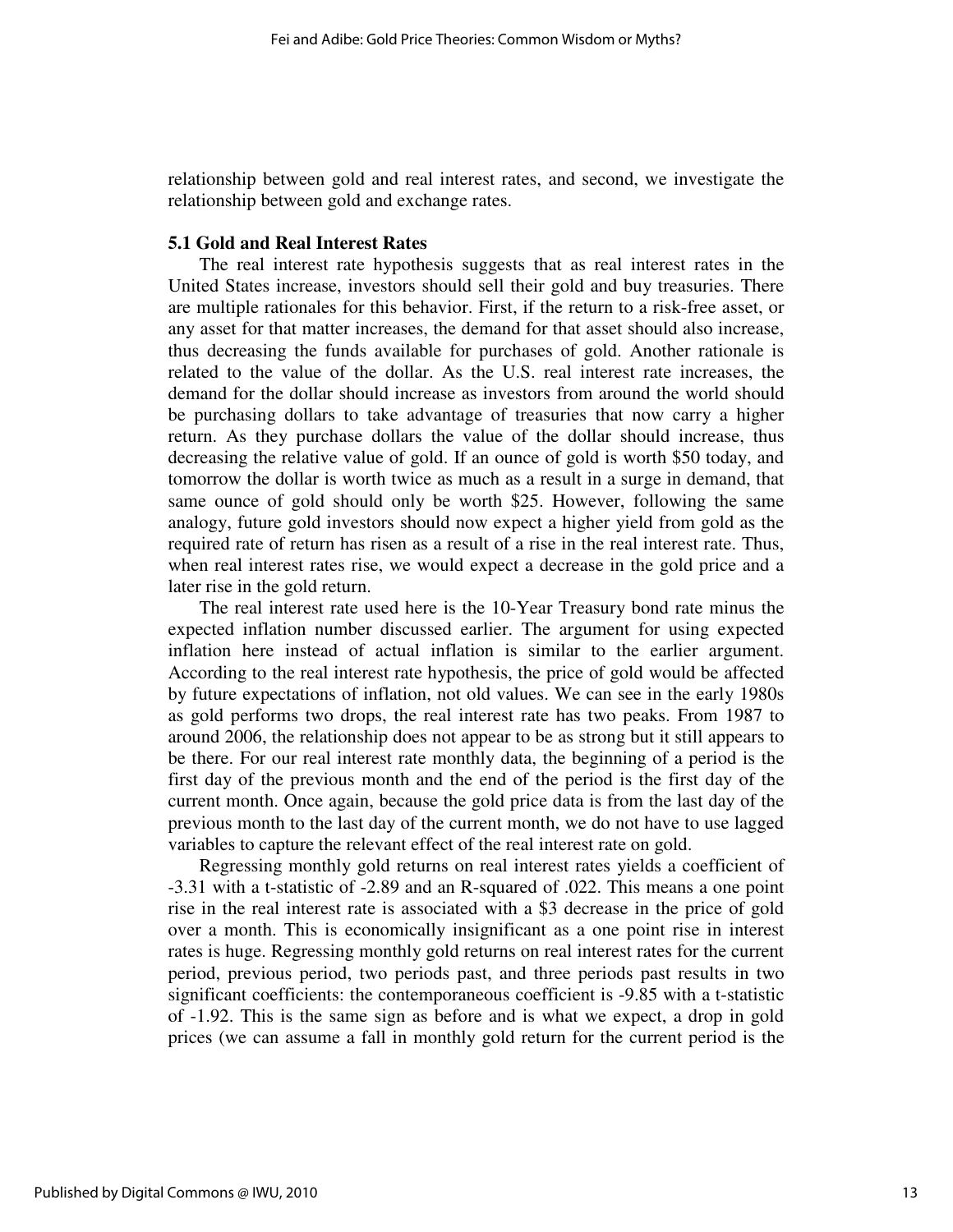relationship between gold and real interest rates, and second, we investigate the relationship between gold and exchange rates.

## **5.1 Gold and Real Interest Rates**

The real interest rate hypothesis suggests that as real interest rates in the United States increase, investors should sell their gold and buy treasuries. There are multiple rationales for this behavior. First, if the return to a risk-free asset, or any asset for that matter increases, the demand for that asset should also increase, thus decreasing the funds available for purchases of gold. Another rationale is related to the value of the dollar. As the U.S. real interest rate increases, the demand for the dollar should increase as investors from around the world should be purchasing dollars to take advantage of treasuries that now carry a higher return. As they purchase dollars the value of the dollar should increase, thus decreasing the relative value of gold. If an ounce of gold is worth \$50 today, and tomorrow the dollar is worth twice as much as a result in a surge in demand, that same ounce of gold should only be worth \$25. However, following the same analogy, future gold investors should now expect a higher yield from gold as the required rate of return has risen as a result of a rise in the real interest rate. Thus, when real interest rates rise, we would expect a decrease in the gold price and a later rise in the gold return.

The real interest rate used here is the 10-Year Treasury bond rate minus the expected inflation number discussed earlier. The argument for using expected inflation here instead of actual inflation is similar to the earlier argument. According to the real interest rate hypothesis, the price of gold would be affected by future expectations of inflation, not old values. We can see in the early 1980s as gold performs two drops, the real interest rate has two peaks. From 1987 to around 2006, the relationship does not appear to be as strong but it still appears to be there. For our real interest rate monthly data, the beginning of a period is the first day of the previous month and the end of the period is the first day of the current month. Once again, because the gold price data is from the last day of the previous month to the last day of the current month, we do not have to use lagged variables to capture the relevant effect of the real interest rate on gold.

Regressing monthly gold returns on real interest rates yields a coefficient of -3.31 with a t-statistic of -2.89 and an R-squared of .022. This means a one point rise in the real interest rate is associated with a \$3 decrease in the price of gold over a month. This is economically insignificant as a one point rise in interest rates is huge. Regressing monthly gold returns on real interest rates for the current period, previous period, two periods past, and three periods past results in two significant coefficients: the contemporaneous coefficient is -9.85 with a t-statistic of -1.92. This is the same sign as before and is what we expect, a drop in gold prices (we can assume a fall in monthly gold return for the current period is the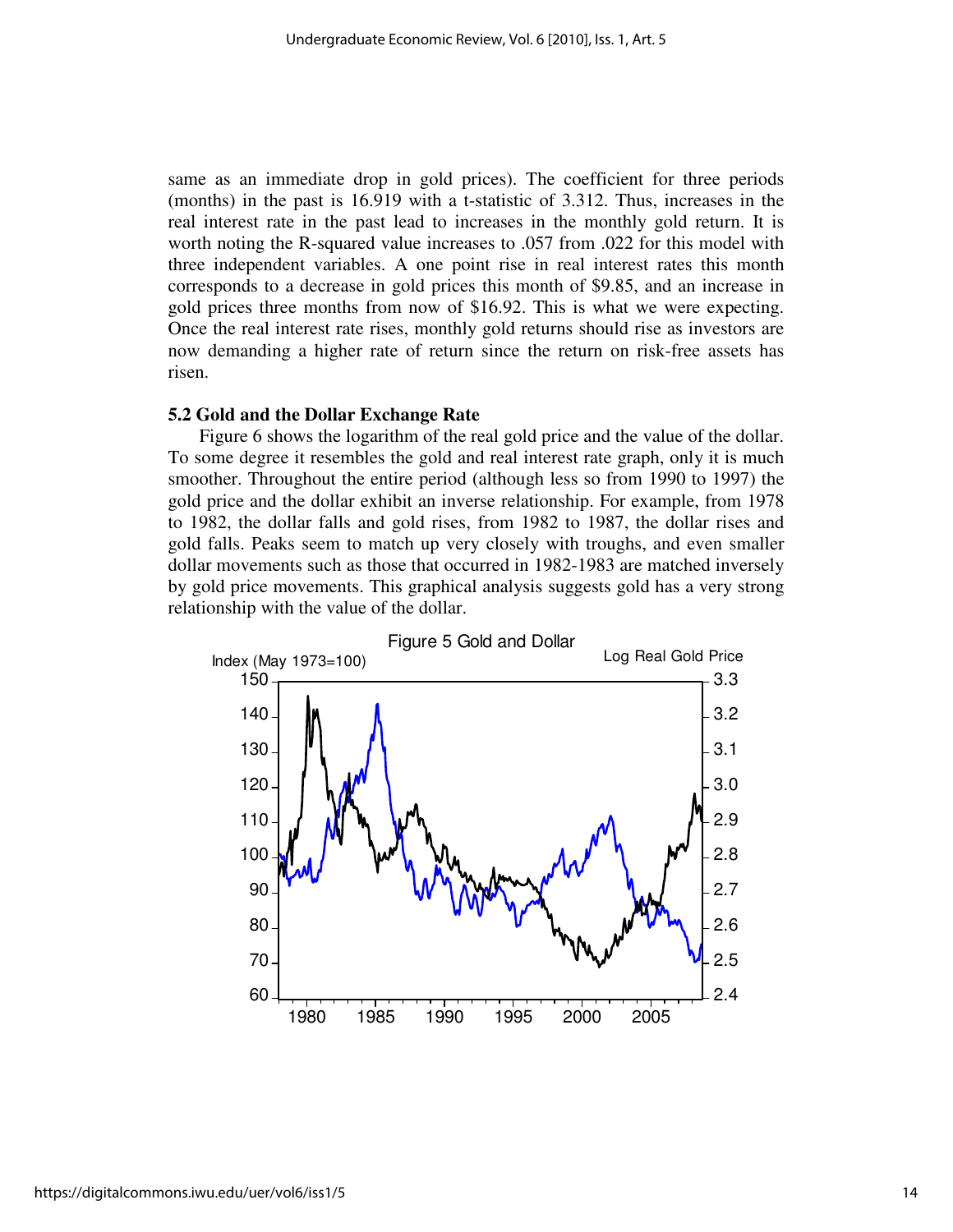same as an immediate drop in gold prices). The coefficient for three periods (months) in the past is 16.919 with a t-statistic of 3.312. Thus, increases in the real interest rate in the past lead to increases in the monthly gold return. It is worth noting the R-squared value increases to .057 from .022 for this model with three independent variables. A one point rise in real interest rates this month corresponds to a decrease in gold prices this month of \$9.85, and an increase in gold prices three months from now of \$16.92. This is what we were expecting. Once the real interest rate rises, monthly gold returns should rise as investors are now demanding a higher rate of return since the return on risk-free assets has risen.

#### **5.2 Gold and the Dollar Exchange Rate**

Figure 6 shows the logarithm of the real gold price and the value of the dollar. To some degree it resembles the gold and real interest rate graph, only it is much smoother. Throughout the entire period (although less so from 1990 to 1997) the gold price and the dollar exhibit an inverse relationship. For example, from 1978 to 1982, the dollar falls and gold rises, from 1982 to 1987, the dollar rises and gold falls. Peaks seem to match up very closely with troughs, and even smaller dollar movements such as those that occurred in 1982-1983 are matched inversely by gold price movements. This graphical analysis suggests gold has a very strong relationship with the value of the dollar.

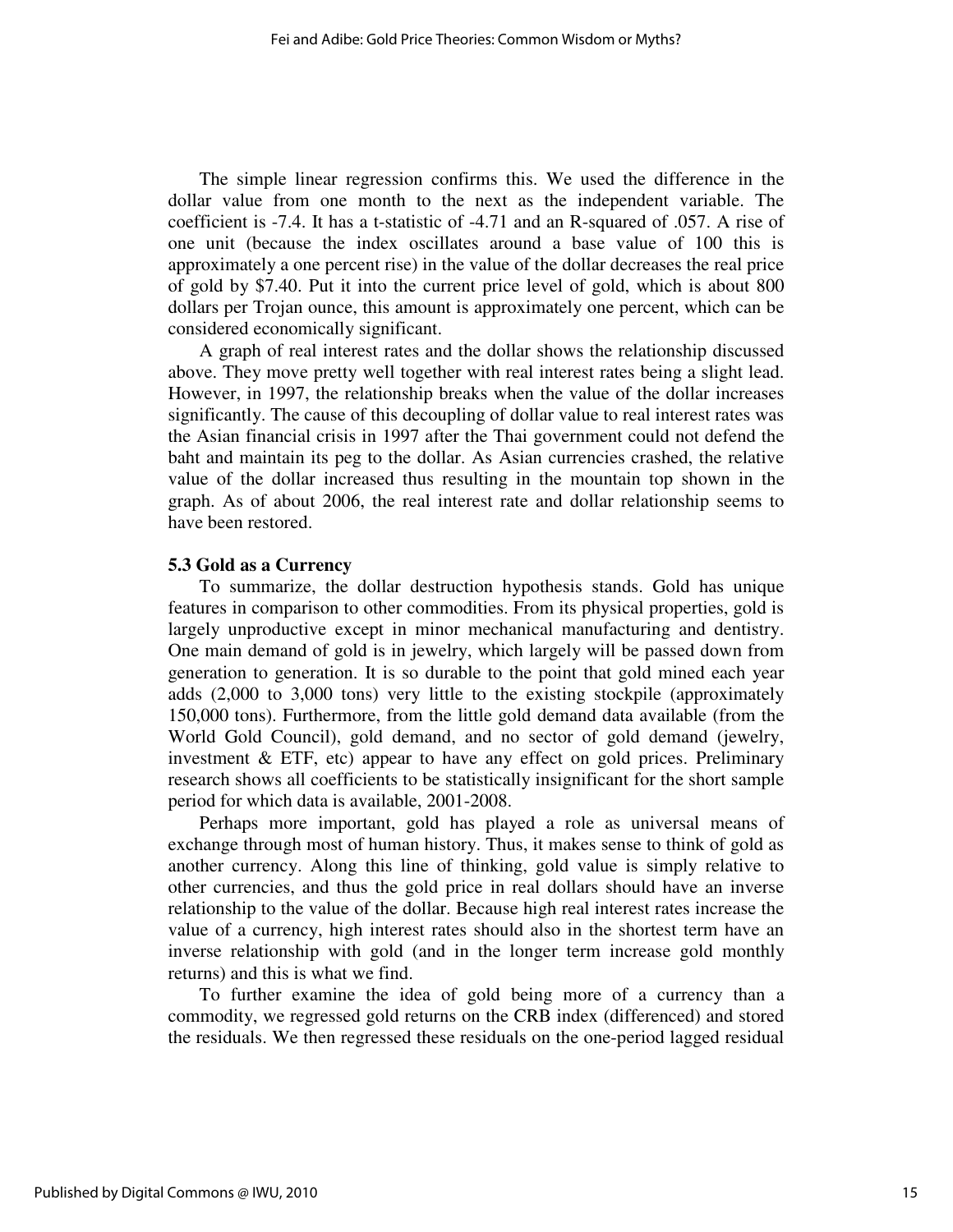The simple linear regression confirms this. We used the difference in the dollar value from one month to the next as the independent variable. The coefficient is -7.4. It has a t-statistic of -4.71 and an R-squared of .057. A rise of one unit (because the index oscillates around a base value of 100 this is approximately a one percent rise) in the value of the dollar decreases the real price of gold by \$7.40. Put it into the current price level of gold, which is about 800 dollars per Trojan ounce, this amount is approximately one percent, which can be considered economically significant.

A graph of real interest rates and the dollar shows the relationship discussed above. They move pretty well together with real interest rates being a slight lead. However, in 1997, the relationship breaks when the value of the dollar increases significantly. The cause of this decoupling of dollar value to real interest rates was the Asian financial crisis in 1997 after the Thai government could not defend the baht and maintain its peg to the dollar. As Asian currencies crashed, the relative value of the dollar increased thus resulting in the mountain top shown in the graph. As of about 2006, the real interest rate and dollar relationship seems to have been restored.

## **5.3 Gold as a Currency**

To summarize, the dollar destruction hypothesis stands. Gold has unique features in comparison to other commodities. From its physical properties, gold is largely unproductive except in minor mechanical manufacturing and dentistry. One main demand of gold is in jewelry, which largely will be passed down from generation to generation. It is so durable to the point that gold mined each year adds (2,000 to 3,000 tons) very little to the existing stockpile (approximately 150,000 tons). Furthermore, from the little gold demand data available (from the World Gold Council), gold demand, and no sector of gold demand (jewelry, investment & ETF, etc) appear to have any effect on gold prices. Preliminary research shows all coefficients to be statistically insignificant for the short sample period for which data is available, 2001-2008.

Perhaps more important, gold has played a role as universal means of exchange through most of human history. Thus, it makes sense to think of gold as another currency. Along this line of thinking, gold value is simply relative to other currencies, and thus the gold price in real dollars should have an inverse relationship to the value of the dollar. Because high real interest rates increase the value of a currency, high interest rates should also in the shortest term have an inverse relationship with gold (and in the longer term increase gold monthly returns) and this is what we find.

To further examine the idea of gold being more of a currency than a commodity, we regressed gold returns on the CRB index (differenced) and stored the residuals. We then regressed these residuals on the one-period lagged residual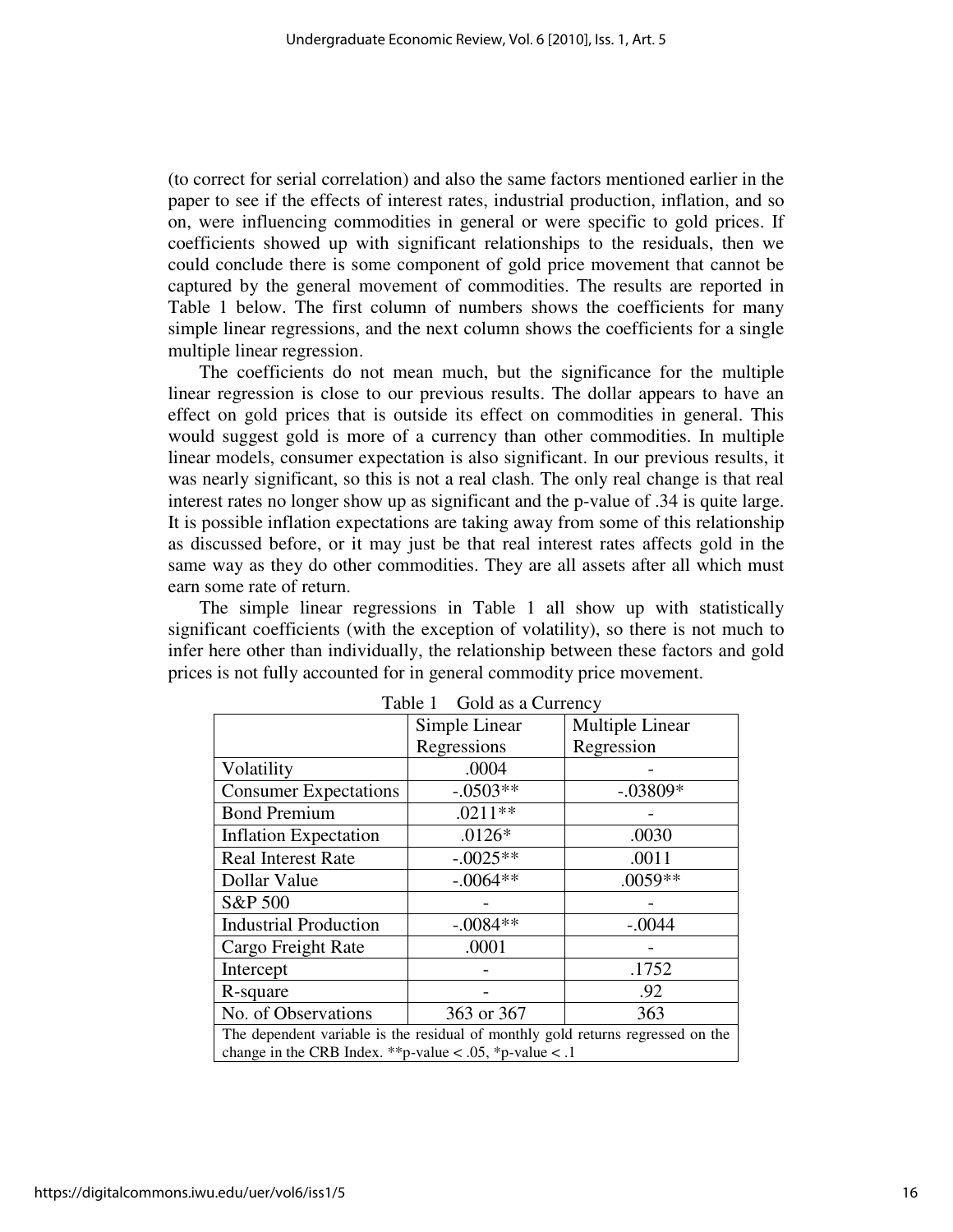(to correct for serial correlation) and also the same factors mentioned earlier in the paper to see if the effects of interest rates, industrial production, inflation, and so on, were influencing commodities in general or were specific to gold prices. If coefficients showed up with significant relationships to the residuals, then we could conclude there is some component of gold price movement that cannot be captured by the general movement of commodities. The results are reported in Table 1 below. The first column of numbers shows the coefficients for many simple linear regressions, and the next column shows the coefficients for a single multiple linear regression.

The coefficients do not mean much, but the significance for the multiple linear regression is close to our previous results. The dollar appears to have an effect on gold prices that is outside its effect on commodities in general. This would suggest gold is more of a currency than other commodities. In multiple linear models, consumer expectation is also significant. In our previous results, it was nearly significant, so this is not a real clash. The only real change is that real interest rates no longer show up as significant and the p-value of .34 is quite large. It is possible inflation expectations are taking away from some of this relationship as discussed before, or it may just be that real interest rates affects gold in the same way as they do other commodities. They are all assets after all which must earn some rate of return.

The simple linear regressions in Table 1 all show up with statistically significant coefficients (with the exception of volatility), so there is not much to infer here other than individually, the relationship between these factors and gold prices is not fully accounted for in general commodity price movement.

|                                                                                 | Simple Linear | Multiple Linear |  |  |  |  |
|---------------------------------------------------------------------------------|---------------|-----------------|--|--|--|--|
|                                                                                 | Regressions   | Regression      |  |  |  |  |
| Volatility                                                                      | .0004         |                 |  |  |  |  |
| <b>Consumer Expectations</b>                                                    | $-.0503**$    | $-.03809*$      |  |  |  |  |
| <b>Bond Premium</b>                                                             | $.0211**$     |                 |  |  |  |  |
| <b>Inflation Expectation</b>                                                    | $.0126*$      | .0030           |  |  |  |  |
| <b>Real Interest Rate</b>                                                       | $-.0025**$    | .0011           |  |  |  |  |
| Dollar Value                                                                    | $-.0064**$    | .0059**         |  |  |  |  |
| S&P 500                                                                         |               |                 |  |  |  |  |
| <b>Industrial Production</b>                                                    | $-.0084**$    | $-.0044$        |  |  |  |  |
| Cargo Freight Rate                                                              | .0001         |                 |  |  |  |  |
| Intercept                                                                       |               | .1752           |  |  |  |  |
| R-square                                                                        |               | .92             |  |  |  |  |
| No. of Observations                                                             | 363 or 367    | 363             |  |  |  |  |
| The dependent variable is the residual of monthly gold returns regressed on the |               |                 |  |  |  |  |
| change in the CRB Index. ** p-value < .05, * p-value < .1                       |               |                 |  |  |  |  |

Table 1 Gold as a Currency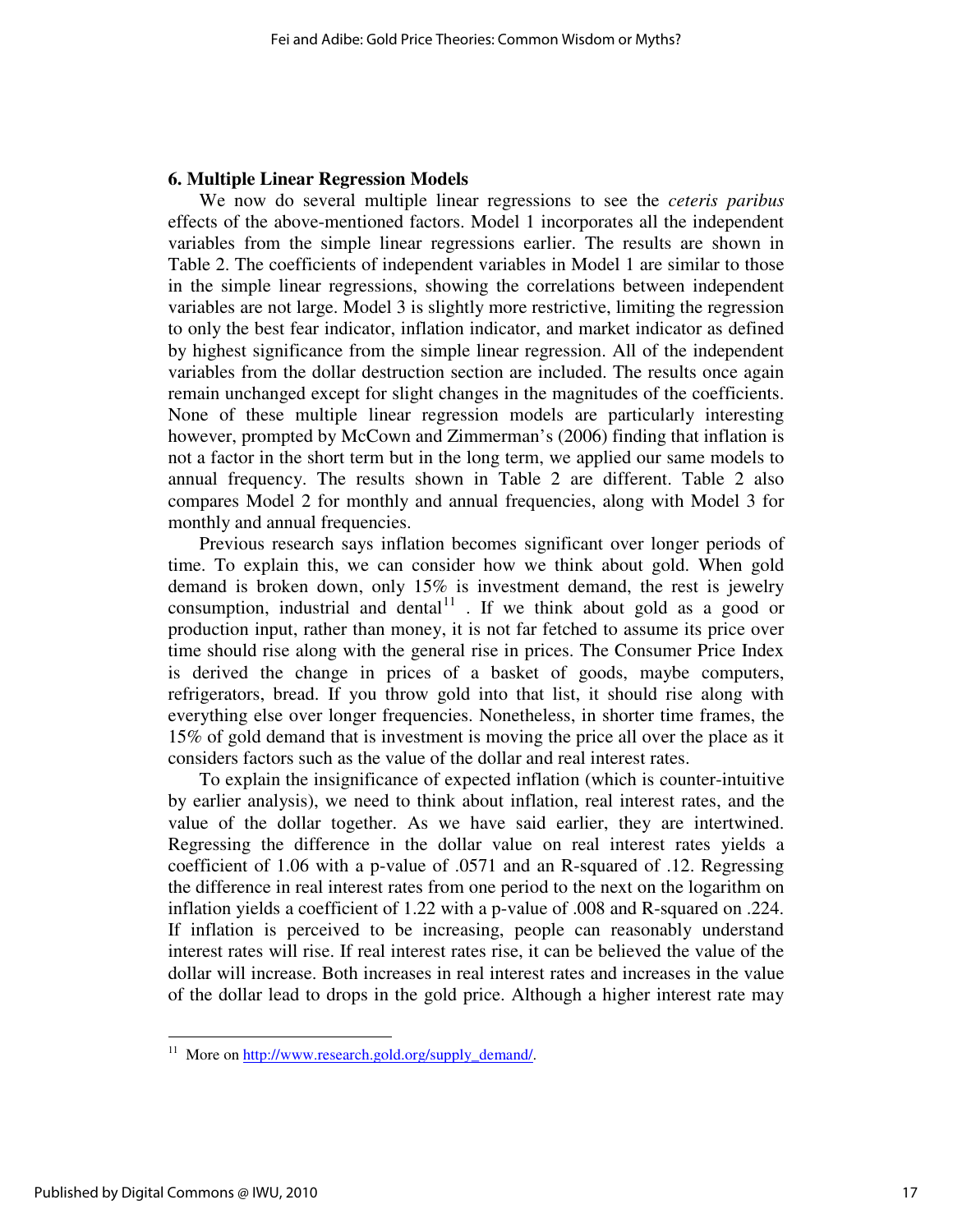### **6. Multiple Linear Regression Models**

We now do several multiple linear regressions to see the *ceteris paribus* effects of the above-mentioned factors. Model 1 incorporates all the independent variables from the simple linear regressions earlier. The results are shown in Table 2. The coefficients of independent variables in Model 1 are similar to those in the simple linear regressions, showing the correlations between independent variables are not large. Model 3 is slightly more restrictive, limiting the regression to only the best fear indicator, inflation indicator, and market indicator as defined by highest significance from the simple linear regression. All of the independent variables from the dollar destruction section are included. The results once again remain unchanged except for slight changes in the magnitudes of the coefficients. None of these multiple linear regression models are particularly interesting however, prompted by McCown and Zimmerman's (2006) finding that inflation is not a factor in the short term but in the long term, we applied our same models to annual frequency. The results shown in Table 2 are different. Table 2 also compares Model 2 for monthly and annual frequencies, along with Model 3 for monthly and annual frequencies.

Previous research says inflation becomes significant over longer periods of time. To explain this, we can consider how we think about gold. When gold demand is broken down, only 15% is investment demand, the rest is jewelry consumption, industrial and dental<sup>11</sup>. If we think about gold as a good or production input, rather than money, it is not far fetched to assume its price over time should rise along with the general rise in prices. The Consumer Price Index is derived the change in prices of a basket of goods, maybe computers, refrigerators, bread. If you throw gold into that list, it should rise along with everything else over longer frequencies. Nonetheless, in shorter time frames, the 15% of gold demand that is investment is moving the price all over the place as it considers factors such as the value of the dollar and real interest rates.

To explain the insignificance of expected inflation (which is counter-intuitive by earlier analysis), we need to think about inflation, real interest rates, and the value of the dollar together. As we have said earlier, they are intertwined. Regressing the difference in the dollar value on real interest rates yields a coefficient of 1.06 with a p-value of .0571 and an R-squared of .12. Regressing the difference in real interest rates from one period to the next on the logarithm on inflation yields a coefficient of 1.22 with a p-value of .008 and R-squared on .224. If inflation is perceived to be increasing, people can reasonably understand interest rates will rise. If real interest rates rise, it can be believed the value of the dollar will increase. Both increases in real interest rates and increases in the value of the dollar lead to drops in the gold price. Although a higher interest rate may

<u>.</u>

<sup>&</sup>lt;sup>11</sup> More on http://www.research.gold.org/supply\_demand/.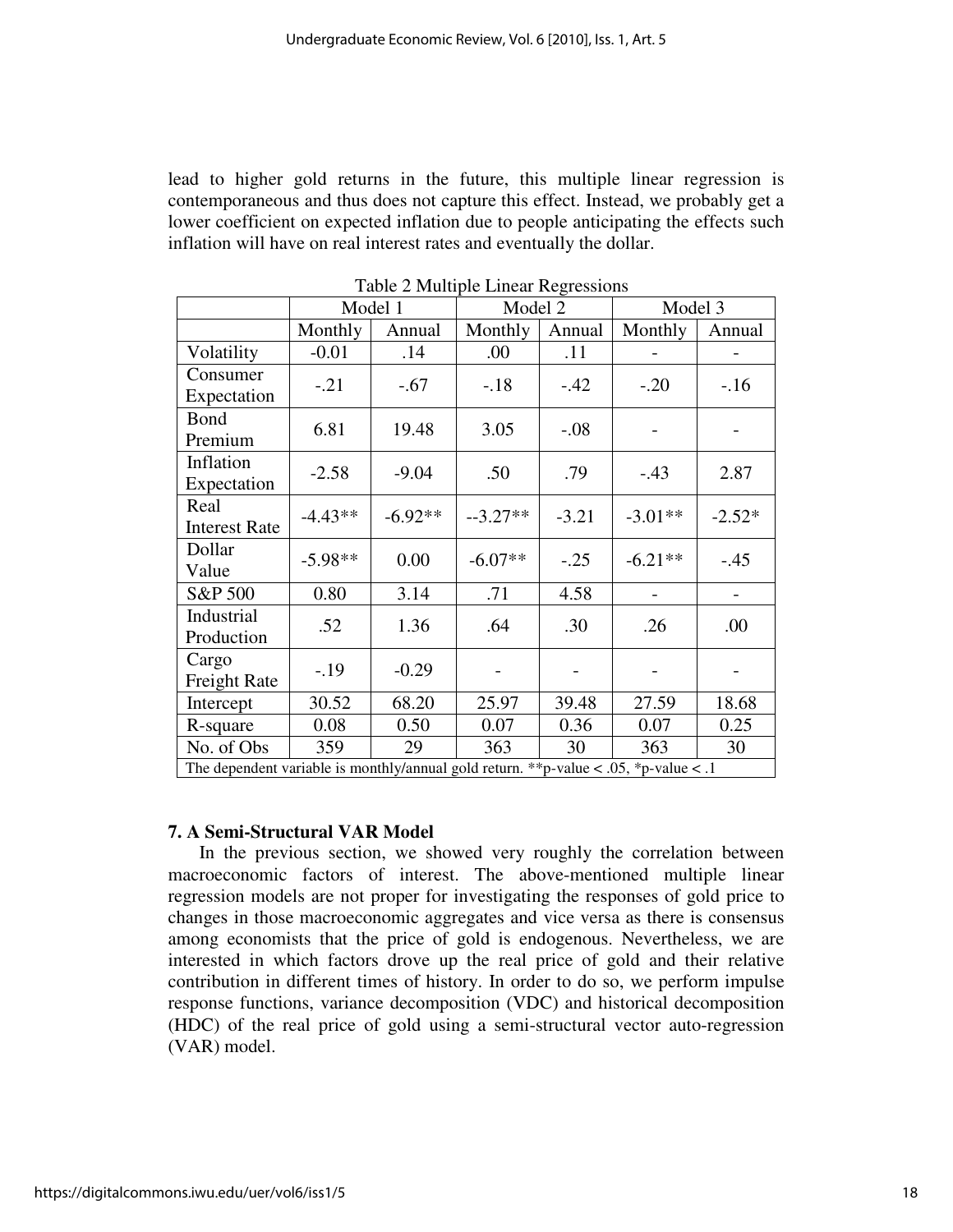lead to higher gold returns in the future, this multiple linear regression is contemporaneous and thus does not capture this effect. Instead, we probably get a lower coefficient on expected inflation due to people anticipating the effects such inflation will have on real interest rates and eventually the dollar.

|                                                                                      | Model 1   |           | Model 2   |         | Model 3   |          |  |
|--------------------------------------------------------------------------------------|-----------|-----------|-----------|---------|-----------|----------|--|
|                                                                                      | Monthly   | Annual    | Monthly   | Annual  | Monthly   | Annual   |  |
| Volatility                                                                           | $-0.01$   | .14       | .00       | .11     |           |          |  |
| Consumer<br>Expectation                                                              | $-.21$    | $-.67$    | $-.18$    | $-42$   | $-.20$    | $-16$    |  |
| <b>Bond</b><br>Premium                                                               | 6.81      | 19.48     | 3.05      | $-.08$  |           |          |  |
| Inflation<br>Expectation                                                             | $-2.58$   | $-9.04$   | .50       | .79     | $-.43$    | 2.87     |  |
| Real<br><b>Interest Rate</b>                                                         | $-4.43**$ | $-6.92**$ | $-3.27**$ | $-3.21$ | $-3.01**$ | $-2.52*$ |  |
| Dollar<br>Value                                                                      | $-5.98**$ | 0.00      | $-6.07**$ | $-.25$  | $-6.21**$ | $-.45$   |  |
| S&P 500                                                                              | 0.80      | 3.14      | .71       | 4.58    |           |          |  |
| Industrial<br>Production                                                             | .52       | 1.36      | .64       | .30     | .26       | .00      |  |
| Cargo<br><b>Freight Rate</b>                                                         | $-.19$    | $-0.29$   |           |         |           |          |  |
| Intercept                                                                            | 30.52     | 68.20     | 25.97     | 39.48   | 27.59     | 18.68    |  |
| R-square                                                                             | 0.08      | 0.50      | 0.07      | 0.36    | 0.07      | 0.25     |  |
| No. of Obs                                                                           | 359       | 29        | 363       | 30      | 363       | 30       |  |
| The dependent variable is monthly/annual gold return. **p-value < .05, *p-value < .1 |           |           |           |         |           |          |  |

Table 2 Multiple Linear Regressions

## **7. A Semi-Structural VAR Model**

In the previous section, we showed very roughly the correlation between macroeconomic factors of interest. The above-mentioned multiple linear regression models are not proper for investigating the responses of gold price to changes in those macroeconomic aggregates and vice versa as there is consensus among economists that the price of gold is endogenous. Nevertheless, we are interested in which factors drove up the real price of gold and their relative contribution in different times of history. In order to do so, we perform impulse response functions, variance decomposition (VDC) and historical decomposition (HDC) of the real price of gold using a semi-structural vector auto-regression (VAR) model.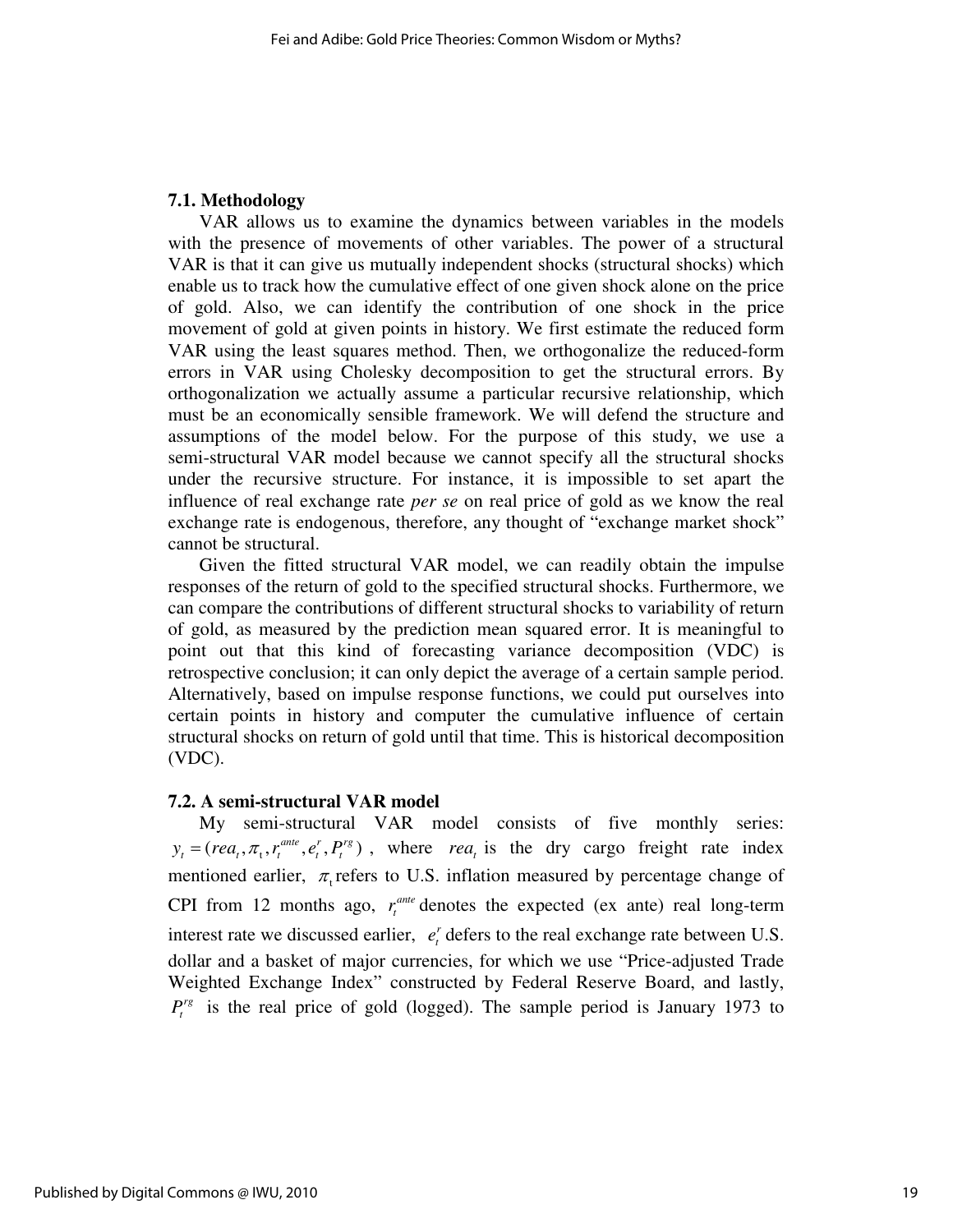#### **7.1. Methodology**

VAR allows us to examine the dynamics between variables in the models with the presence of movements of other variables. The power of a structural VAR is that it can give us mutually independent shocks (structural shocks) which enable us to track how the cumulative effect of one given shock alone on the price of gold. Also, we can identify the contribution of one shock in the price movement of gold at given points in history. We first estimate the reduced form VAR using the least squares method. Then, we orthogonalize the reduced-form errors in VAR using Cholesky decomposition to get the structural errors. By orthogonalization we actually assume a particular recursive relationship, which must be an economically sensible framework. We will defend the structure and assumptions of the model below. For the purpose of this study, we use a semi-structural VAR model because we cannot specify all the structural shocks under the recursive structure. For instance, it is impossible to set apart the influence of real exchange rate *per se* on real price of gold as we know the real exchange rate is endogenous, therefore, any thought of "exchange market shock" cannot be structural.

Given the fitted structural VAR model, we can readily obtain the impulse responses of the return of gold to the specified structural shocks. Furthermore, we can compare the contributions of different structural shocks to variability of return of gold, as measured by the prediction mean squared error. It is meaningful to point out that this kind of forecasting variance decomposition (VDC) is retrospective conclusion; it can only depict the average of a certain sample period. Alternatively, based on impulse response functions, we could put ourselves into certain points in history and computer the cumulative influence of certain structural shocks on return of gold until that time. This is historical decomposition (VDC).

#### **7.2. A semi-structural VAR model**

My semi-structural VAR model consists of five monthly series:  $y_t = (rea_t, \pi_t, r_t^{ante}, e_t^r, P_t^{rg})$ , where *rea<sub>t</sub>* is the dry cargo freight rate index mentioned earlier,  $\pi$ <sub>t</sub> refers to U.S. inflation measured by percentage change of CPI from 12 months ago,  $r_t^{ante}$  denotes the expected (ex ante) real long-term interest rate we discussed earlier,  $e_i^r$  defers to the real exchange rate between U.S. dollar and a basket of major currencies, for which we use "Price-adjusted Trade Weighted Exchange Index" constructed by Federal Reserve Board, and lastly,  $P_t^{rg}$  is the real price of gold (logged). The sample period is January 1973 to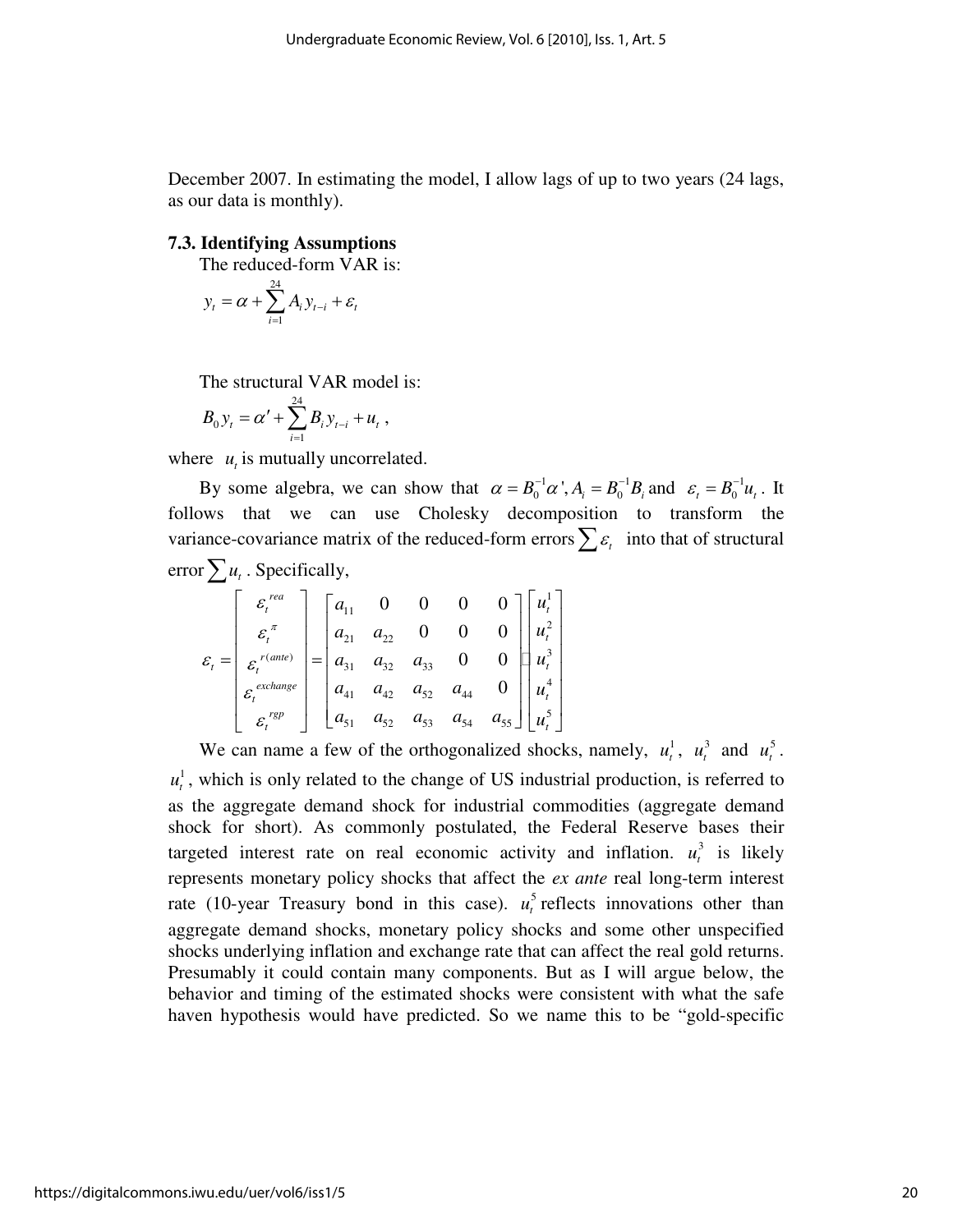December 2007. In estimating the model, I allow lags of up to two years (24 lags, as our data is monthly).

#### **7.3. Identifying Assumptions**

The reduced-form VAR is:

$$
y_t = \alpha + \sum_{i=1}^{24} A_i y_{t-i} + \varepsilon_t
$$

The structural VAR model is:

$$
B_0 y_t = \alpha' + \sum_{i=1}^{24} B_i y_{t-i} + u_t,
$$

where  $u_t$  is mutually uncorrelated.

By some algebra, we can show that  $\alpha = B_0^{-1} \alpha^* A_i = B_0^{-1} B_i$  and  $\varepsilon_t = B_0^{-1} u_t$ . It follows that we can use Cholesky decomposition to transform the variance-covariance matrix of the reduced-form errors  $\sum \varepsilon_i$  into that of structural error  $\sum u_t$ . Specifically,

$$
\varepsilon_{t} = \begin{bmatrix} \varepsilon_{t}^{rea} \\ \varepsilon_{t}^{π} \\ \varepsilon_{t}^{r(ante)} \\ \varepsilon_{t}^{exchange} \\ \varepsilon_{t}^{rgb} \end{bmatrix} = \begin{bmatrix} a_{11} & 0 & 0 & 0 & 0 \\ a_{21} & a_{22} & 0 & 0 & 0 \\ a_{31} & a_{32} & a_{33} & 0 & 0 \\ a_{41} & a_{42} & a_{43} & 0 & 0 \\ a_{51} & a_{52} & a_{53} & a_{54} & a_{55} \end{bmatrix} \begin{bmatrix} u_{t}^{1} \\ u_{t}^{2} \\ u_{t}^{3} \\ u_{t}^{4} \\ u_{t}^{5} \end{bmatrix}
$$

We can name a few of the orthogonalized shocks, namely,  $u_t^1$ ,  $u_t^3$  $u_t^3$  and  $u_t^5$ . 1  $u_t^1$ , which is only related to the change of US industrial production, is referred to as the aggregate demand shock for industrial commodities (aggregate demand shock for short). As commonly postulated, the Federal Reserve bases their targeted interest rate on real economic activity and inflation.  $u_t^3$  is likely represents monetary policy shocks that affect the *ex ante* real long-term interest rate (10-year Treasury bond in this case).  $u_t^5$  reflects innovations other than aggregate demand shocks, monetary policy shocks and some other unspecified shocks underlying inflation and exchange rate that can affect the real gold returns. Presumably it could contain many components. But as I will argue below, the behavior and timing of the estimated shocks were consistent with what the safe haven hypothesis would have predicted. So we name this to be "gold-specific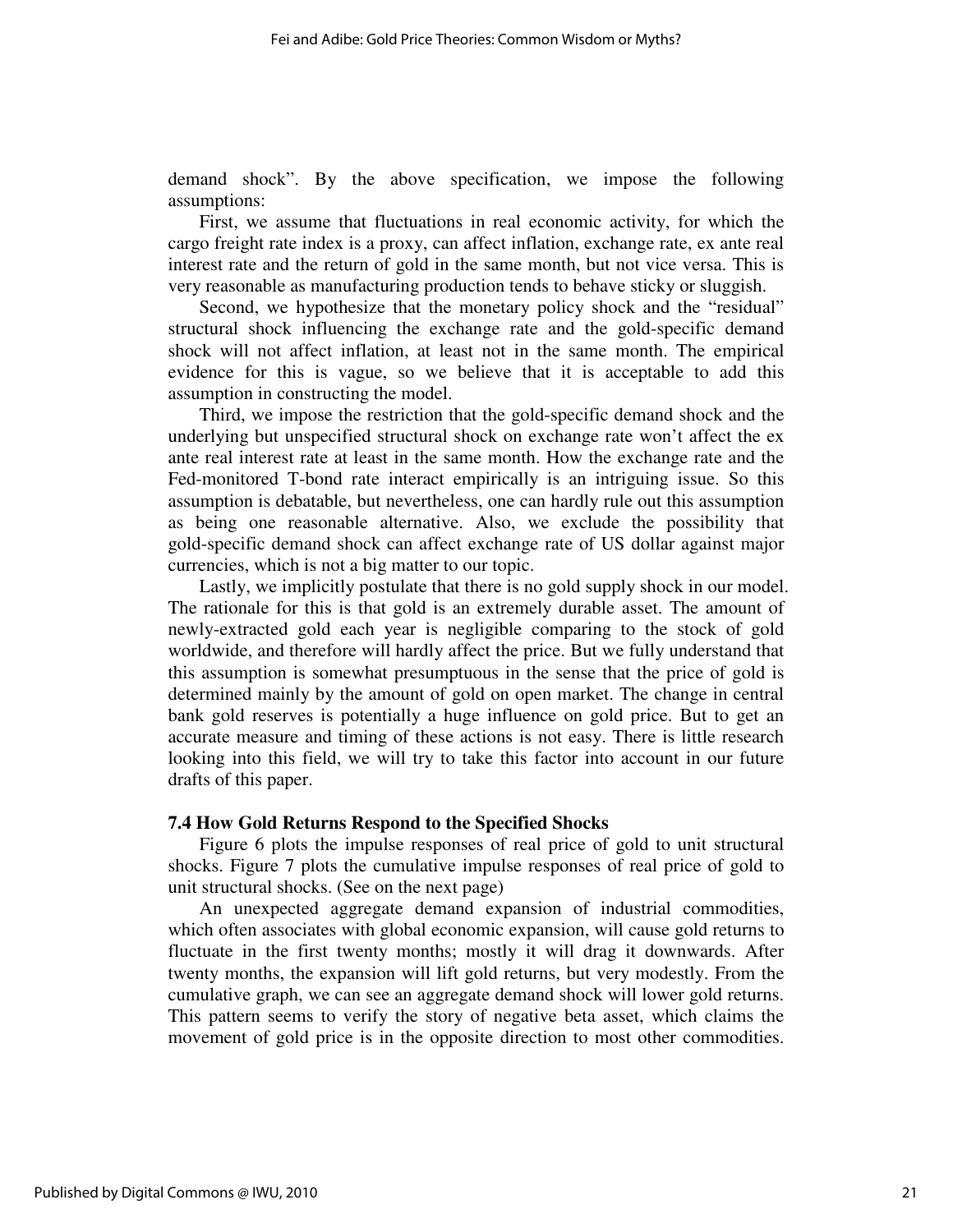demand shock". By the above specification, we impose the following assumptions:

First, we assume that fluctuations in real economic activity, for which the cargo freight rate index is a proxy, can affect inflation, exchange rate, ex ante real interest rate and the return of gold in the same month, but not vice versa. This is very reasonable as manufacturing production tends to behave sticky or sluggish.

Second, we hypothesize that the monetary policy shock and the "residual" structural shock influencing the exchange rate and the gold-specific demand shock will not affect inflation, at least not in the same month. The empirical evidence for this is vague, so we believe that it is acceptable to add this assumption in constructing the model.

Third, we impose the restriction that the gold-specific demand shock and the underlying but unspecified structural shock on exchange rate won't affect the ex ante real interest rate at least in the same month. How the exchange rate and the Fed-monitored T-bond rate interact empirically is an intriguing issue. So this assumption is debatable, but nevertheless, one can hardly rule out this assumption as being one reasonable alternative. Also, we exclude the possibility that gold-specific demand shock can affect exchange rate of US dollar against major currencies, which is not a big matter to our topic.

Lastly, we implicitly postulate that there is no gold supply shock in our model. The rationale for this is that gold is an extremely durable asset. The amount of newly-extracted gold each year is negligible comparing to the stock of gold worldwide, and therefore will hardly affect the price. But we fully understand that this assumption is somewhat presumptuous in the sense that the price of gold is determined mainly by the amount of gold on open market. The change in central bank gold reserves is potentially a huge influence on gold price. But to get an accurate measure and timing of these actions is not easy. There is little research looking into this field, we will try to take this factor into account in our future drafts of this paper.

### **7.4 How Gold Returns Respond to the Specified Shocks**

Figure 6 plots the impulse responses of real price of gold to unit structural shocks. Figure 7 plots the cumulative impulse responses of real price of gold to unit structural shocks. (See on the next page)

An unexpected aggregate demand expansion of industrial commodities, which often associates with global economic expansion, will cause gold returns to fluctuate in the first twenty months; mostly it will drag it downwards. After twenty months, the expansion will lift gold returns, but very modestly. From the cumulative graph, we can see an aggregate demand shock will lower gold returns. This pattern seems to verify the story of negative beta asset, which claims the movement of gold price is in the opposite direction to most other commodities.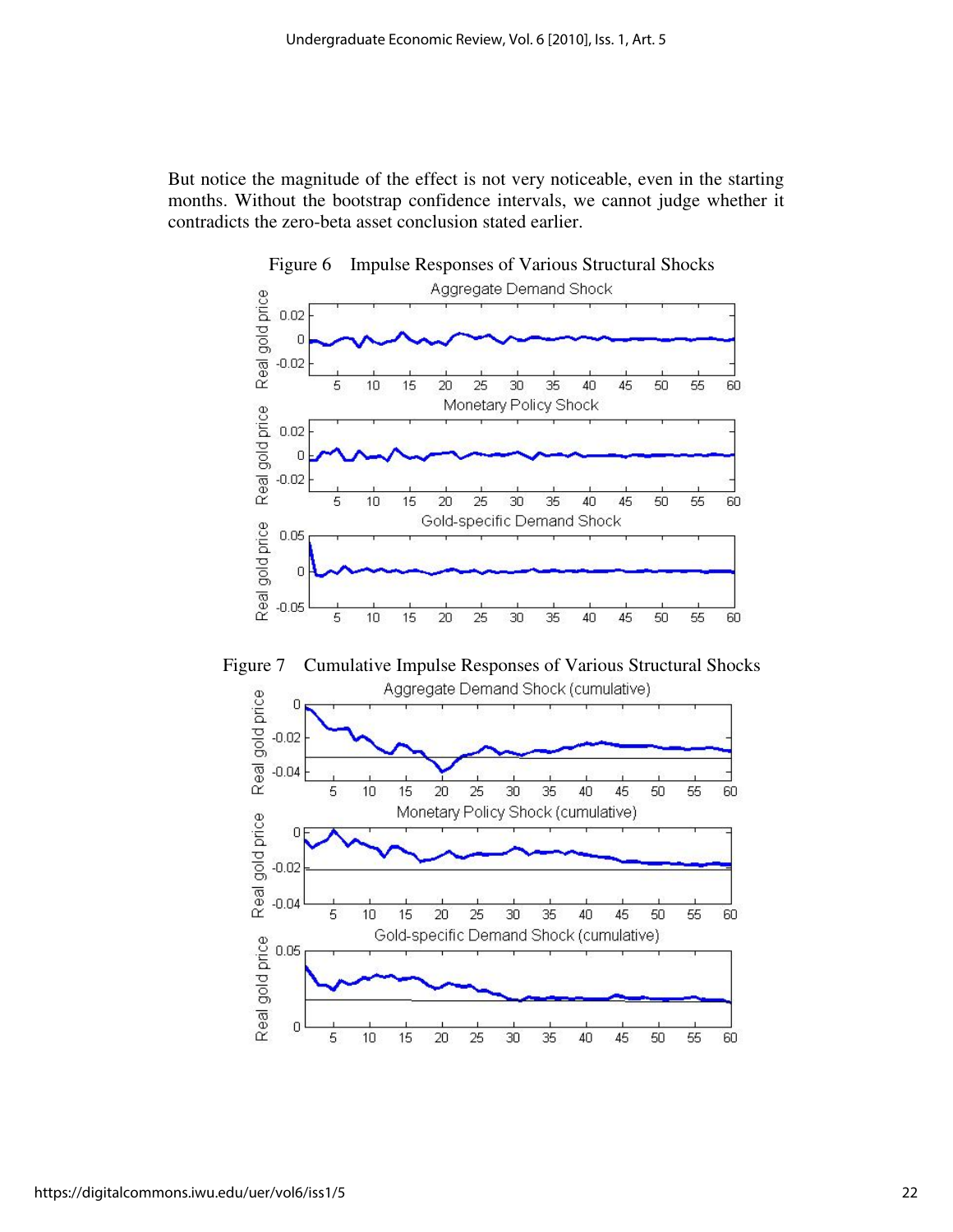But notice the magnitude of the effect is not very noticeable, even in the starting months. Without the bootstrap confidence intervals, we cannot judge whether it contradicts the zero-beta asset conclusion stated earlier.



Figure 7 Cumulative Impulse Responses of Various Structural Shocks Aggregate Demand Shock (cumulative)

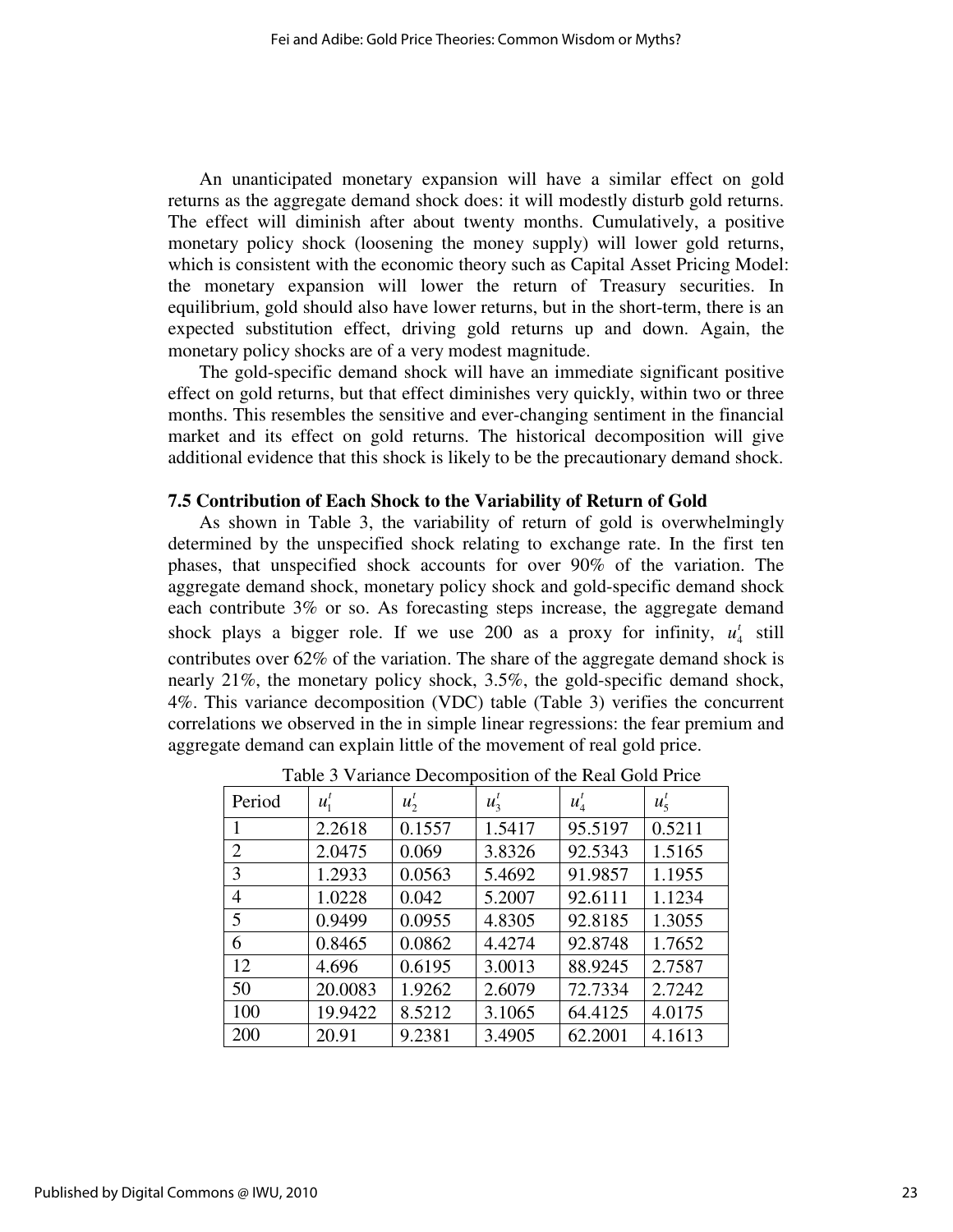An unanticipated monetary expansion will have a similar effect on gold returns as the aggregate demand shock does: it will modestly disturb gold returns. The effect will diminish after about twenty months. Cumulatively, a positive monetary policy shock (loosening the money supply) will lower gold returns, which is consistent with the economic theory such as Capital Asset Pricing Model: the monetary expansion will lower the return of Treasury securities. In equilibrium, gold should also have lower returns, but in the short-term, there is an expected substitution effect, driving gold returns up and down. Again, the monetary policy shocks are of a very modest magnitude.

The gold-specific demand shock will have an immediate significant positive effect on gold returns, but that effect diminishes very quickly, within two or three months. This resembles the sensitive and ever-changing sentiment in the financial market and its effect on gold returns. The historical decomposition will give additional evidence that this shock is likely to be the precautionary demand shock.

#### **7.5 Contribution of Each Shock to the Variability of Return of Gold**

As shown in Table 3, the variability of return of gold is overwhelmingly determined by the unspecified shock relating to exchange rate. In the first ten phases, that unspecified shock accounts for over 90% of the variation. The aggregate demand shock, monetary policy shock and gold-specific demand shock each contribute 3% or so. As forecasting steps increase, the aggregate demand shock plays a bigger role. If we use 200 as a proxy for infinity,  $u_4^t$  still contributes over 62% of the variation. The share of the aggregate demand shock is nearly 21%, the monetary policy shock, 3.5%, the gold-specific demand shock, 4%. This variance decomposition (VDC) table (Table 3) verifies the concurrent correlations we observed in the in simple linear regressions: the fear premium and aggregate demand can explain little of the movement of real gold price.

| Period | $u_1^{\prime}$ | $u_2^t$ | $u^t_3$ | $u_4^t$ | $u_{5}^{t}$ |
|--------|----------------|---------|---------|---------|-------------|
|        | 2.2618         | 0.1557  | 1.5417  | 95.5197 | 0.5211      |
| 2      | 2.0475         | 0.069   | 3.8326  | 92.5343 | 1.5165      |
| 3      | 1.2933         | 0.0563  | 5.4692  | 91.9857 | 1.1955      |
| 4      | 1.0228         | 0.042   | 5.2007  | 92.6111 | 1.1234      |
| 5      | 0.9499         | 0.0955  | 4.8305  | 92.8185 | 1.3055      |
| 6      | 0.8465         | 0.0862  | 4.4274  | 92.8748 | 1.7652      |
| 12     | 4.696          | 0.6195  | 3.0013  | 88.9245 | 2.7587      |
| 50     | 20.0083        | 1.9262  | 2.6079  | 72.7334 | 2.7242      |
| 100    | 19.9422        | 8.5212  | 3.1065  | 64.4125 | 4.0175      |
| 200    | 20.91          | 9.2381  | 3.4905  | 62.2001 | 4.1613      |

Table 3 Variance Decomposition of the Real Gold Price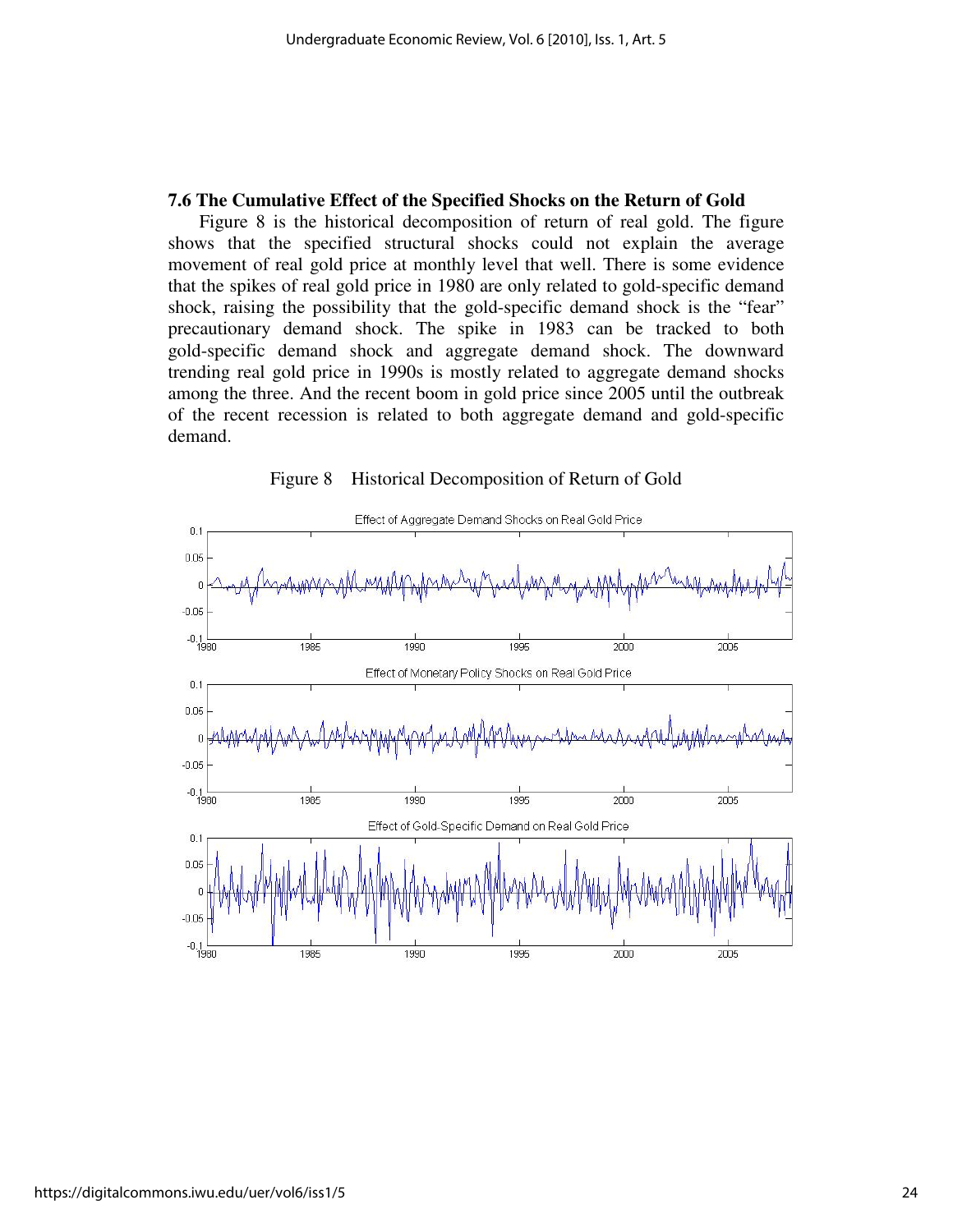## **7.6 The Cumulative Effect of the Specified Shocks on the Return of Gold**

Figure 8 is the historical decomposition of return of real gold. The figure shows that the specified structural shocks could not explain the average movement of real gold price at monthly level that well. There is some evidence that the spikes of real gold price in 1980 are only related to gold-specific demand shock, raising the possibility that the gold-specific demand shock is the "fear" precautionary demand shock. The spike in 1983 can be tracked to both gold-specific demand shock and aggregate demand shock. The downward trending real gold price in 1990s is mostly related to aggregate demand shocks among the three. And the recent boom in gold price since 2005 until the outbreak of the recent recession is related to both aggregate demand and gold-specific demand.



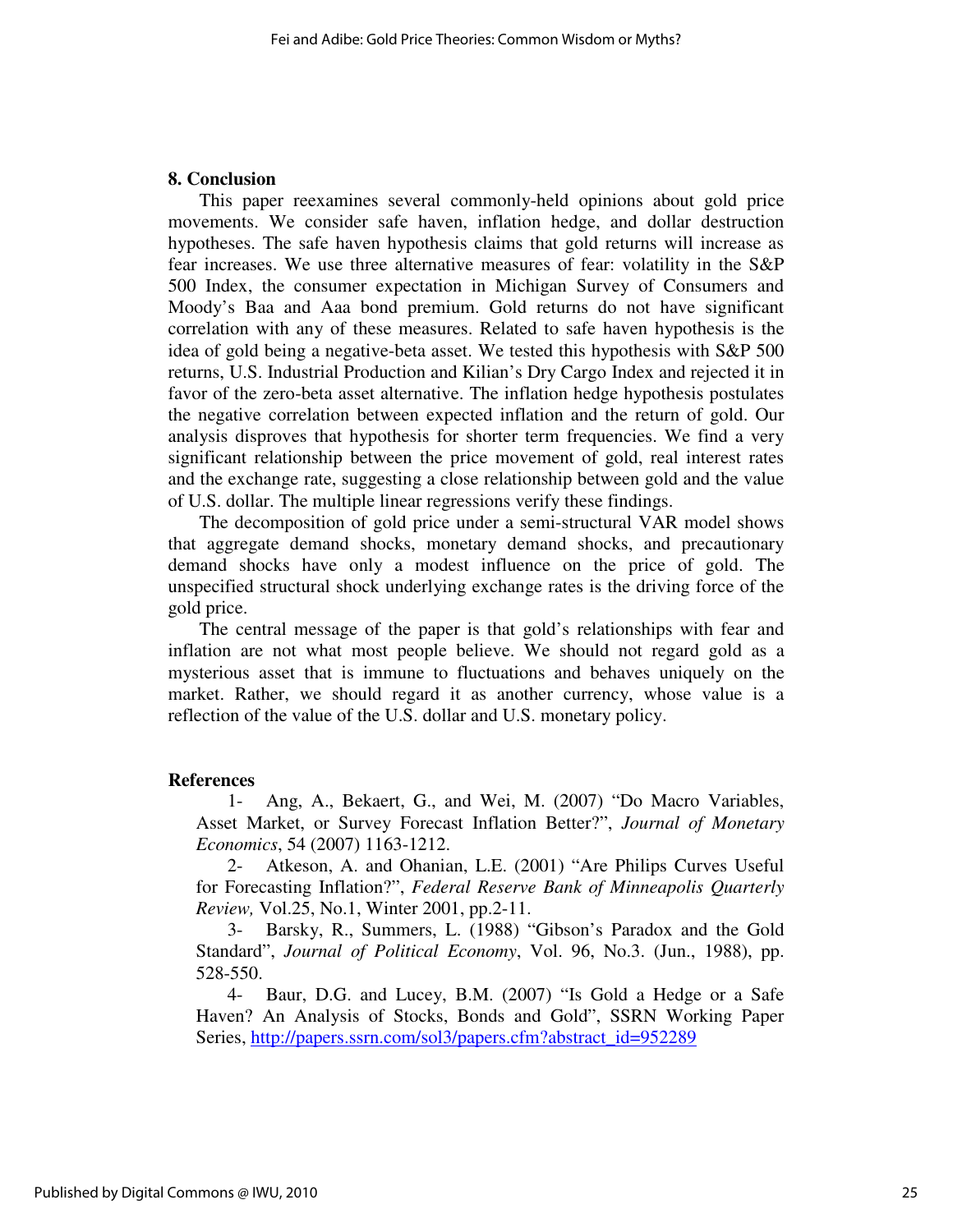### **8. Conclusion**

This paper reexamines several commonly-held opinions about gold price movements. We consider safe haven, inflation hedge, and dollar destruction hypotheses. The safe haven hypothesis claims that gold returns will increase as fear increases. We use three alternative measures of fear: volatility in the S&P 500 Index, the consumer expectation in Michigan Survey of Consumers and Moody's Baa and Aaa bond premium. Gold returns do not have significant correlation with any of these measures. Related to safe haven hypothesis is the idea of gold being a negative-beta asset. We tested this hypothesis with S&P 500 returns, U.S. Industrial Production and Kilian's Dry Cargo Index and rejected it in favor of the zero-beta asset alternative. The inflation hedge hypothesis postulates the negative correlation between expected inflation and the return of gold. Our analysis disproves that hypothesis for shorter term frequencies. We find a very significant relationship between the price movement of gold, real interest rates and the exchange rate, suggesting a close relationship between gold and the value of U.S. dollar. The multiple linear regressions verify these findings.

The decomposition of gold price under a semi-structural VAR model shows that aggregate demand shocks, monetary demand shocks, and precautionary demand shocks have only a modest influence on the price of gold. The unspecified structural shock underlying exchange rates is the driving force of the gold price.

The central message of the paper is that gold's relationships with fear and inflation are not what most people believe. We should not regard gold as a mysterious asset that is immune to fluctuations and behaves uniquely on the market. Rather, we should regard it as another currency, whose value is a reflection of the value of the U.S. dollar and U.S. monetary policy.

#### **References**

1- Ang, A., Bekaert, G., and Wei, M. (2007) "Do Macro Variables, Asset Market, or Survey Forecast Inflation Better?", *Journal of Monetary Economics*, 54 (2007) 1163-1212.

2- Atkeson, A. and Ohanian, L.E. (2001) "Are Philips Curves Useful for Forecasting Inflation?", *Federal Reserve Bank of Minneapolis Quarterly Review,* Vol.25, No.1, Winter 2001, pp.2-11.

3- Barsky, R., Summers, L. (1988) "Gibson's Paradox and the Gold Standard", *Journal of Political Economy*, Vol. 96, No.3. (Jun., 1988), pp. 528-550.

4- Baur, D.G. and Lucey, B.M. (2007) "Is Gold a Hedge or a Safe Haven? An Analysis of Stocks, Bonds and Gold", SSRN Working Paper Series, http://papers.ssrn.com/sol3/papers.cfm?abstract\_id=952289